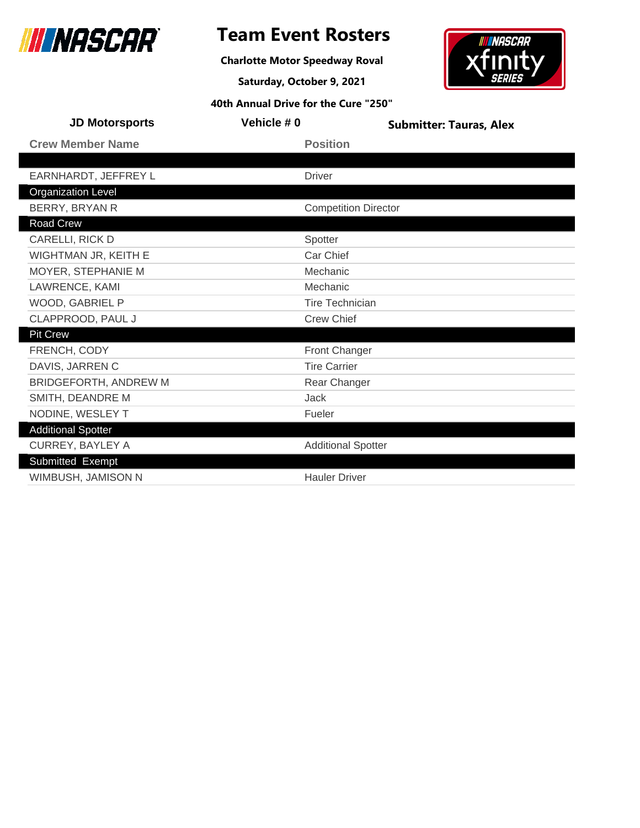

### **Team Event Rosters**

**Charlotte Motor Speedway Roval**

**Saturday, October 9, 2021**



| <b>JD Motorsports</b>        | Vehicle #0 | <b>Submitter: Tauras, Alex</b> |  |
|------------------------------|------------|--------------------------------|--|
| <b>Crew Member Name</b>      |            | <b>Position</b>                |  |
|                              |            |                                |  |
| EARNHARDT, JEFFREY L         |            | <b>Driver</b>                  |  |
| <b>Organization Level</b>    |            |                                |  |
| BERRY, BRYAN R               |            | <b>Competition Director</b>    |  |
| Road Crew                    |            |                                |  |
| CARELLI, RICK D              |            | Spotter                        |  |
| WIGHTMAN JR, KEITH E         |            | Car Chief                      |  |
| MOYER, STEPHANIE M           |            | Mechanic                       |  |
| LAWRENCE, KAMI               |            | Mechanic                       |  |
| WOOD, GABRIEL P              |            | <b>Tire Technician</b>         |  |
| CLAPPROOD, PAUL J            |            | <b>Crew Chief</b>              |  |
| <b>Pit Crew</b>              |            |                                |  |
| FRENCH, CODY                 |            | Front Changer                  |  |
| DAVIS, JARREN C              |            | <b>Tire Carrier</b>            |  |
| <b>BRIDGEFORTH, ANDREW M</b> |            | Rear Changer                   |  |
| SMITH, DEANDRE M             |            | <b>Jack</b>                    |  |
| NODINE, WESLEY T             |            | Fueler                         |  |
| <b>Additional Spotter</b>    |            |                                |  |
| <b>CURREY, BAYLEY A</b>      |            | <b>Additional Spotter</b>      |  |
| Submitted Exempt             |            |                                |  |
| WIMBUSH, JAMISON N           |            | <b>Hauler Driver</b>           |  |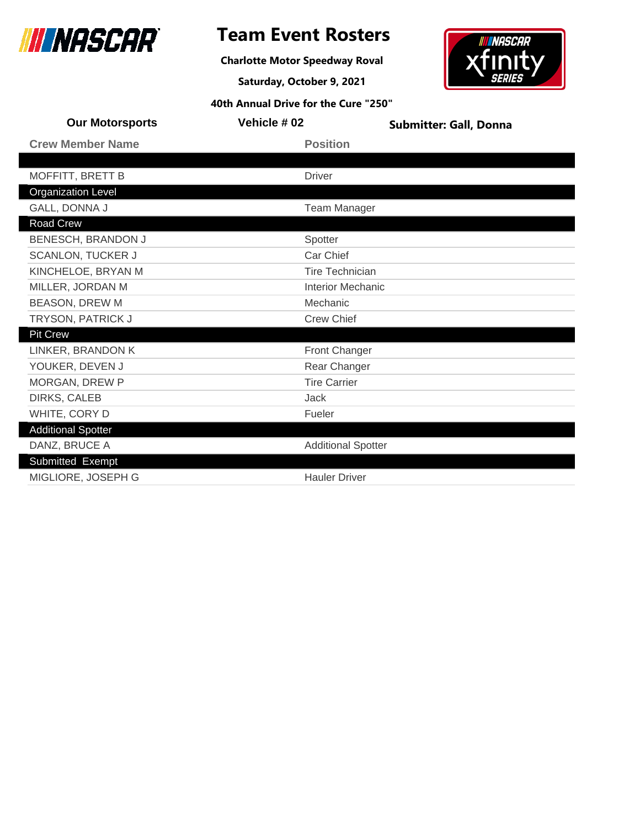

**Charlotte Motor Speedway Roval**

**Saturday, October 9, 2021**



| <b>Our Motorsports</b>    | Vehicle #02               | <b>Submitter: Gall, Donna</b> |  |
|---------------------------|---------------------------|-------------------------------|--|
| <b>Crew Member Name</b>   | <b>Position</b>           |                               |  |
|                           |                           |                               |  |
| MOFFITT, BRETT B          | <b>Driver</b>             |                               |  |
| <b>Organization Level</b> |                           |                               |  |
| GALL, DONNA J             | <b>Team Manager</b>       |                               |  |
| <b>Road Crew</b>          |                           |                               |  |
| BENESCH, BRANDON J        | Spotter                   |                               |  |
| <b>SCANLON, TUCKER J</b>  | Car Chief                 |                               |  |
| KINCHELOE, BRYAN M        | <b>Tire Technician</b>    |                               |  |
| MILLER, JORDAN M          | <b>Interior Mechanic</b>  |                               |  |
| <b>BEASON, DREW M</b>     | Mechanic                  |                               |  |
| TRYSON, PATRICK J         | <b>Crew Chief</b>         |                               |  |
| <b>Pit Crew</b>           |                           |                               |  |
| LINKER, BRANDON K         | Front Changer             |                               |  |
| YOUKER, DEVEN J           | Rear Changer              |                               |  |
| MORGAN, DREW P            | <b>Tire Carrier</b>       |                               |  |
| DIRKS, CALEB              | Jack                      |                               |  |
| WHITE, CORY D             | Fueler                    |                               |  |
| <b>Additional Spotter</b> |                           |                               |  |
| DANZ, BRUCE A             | <b>Additional Spotter</b> |                               |  |
| Submitted Exempt          |                           |                               |  |
| MIGLIORE, JOSEPH G        | <b>Hauler Driver</b>      |                               |  |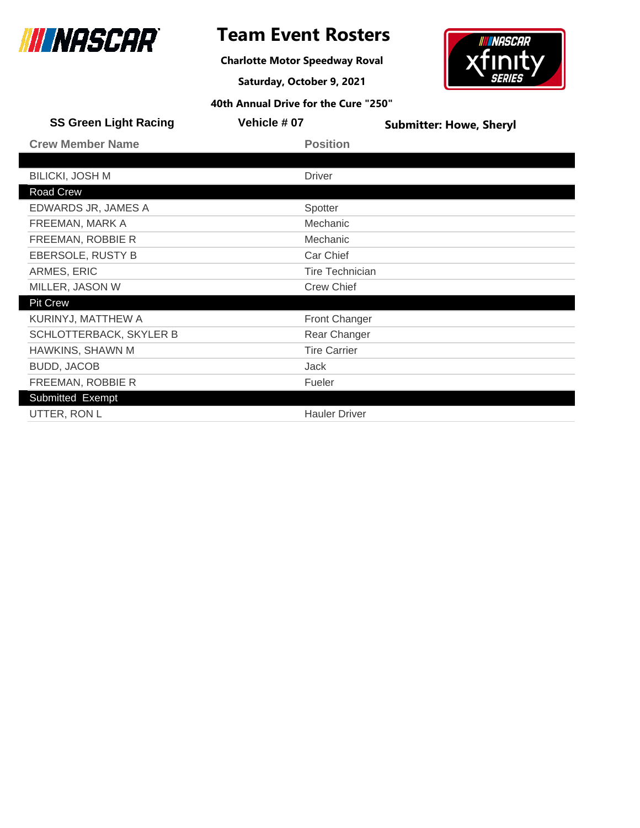

**Charlotte Motor Speedway Roval**

**Saturday, October 9, 2021**



| <b>SS Green Light Racing</b> | Vehicle #07            | <b>Submitter: Howe, Sheryl</b> |
|------------------------------|------------------------|--------------------------------|
| <b>Crew Member Name</b>      | <b>Position</b>        |                                |
|                              |                        |                                |
| <b>BILICKI, JOSH M</b>       | <b>Driver</b>          |                                |
| Road Crew                    |                        |                                |
| EDWARDS JR, JAMES A          | Spotter                |                                |
| FREEMAN, MARK A              | Mechanic               |                                |
| FREEMAN, ROBBIE R            | Mechanic               |                                |
| EBERSOLE, RUSTY B            | Car Chief              |                                |
| ARMES, ERIC                  | <b>Tire Technician</b> |                                |
| MILLER, JASON W              | <b>Crew Chief</b>      |                                |
| <b>Pit Crew</b>              |                        |                                |
| KURINYJ, MATTHEW A           | <b>Front Changer</b>   |                                |
| SCHLOTTERBACK, SKYLER B      | Rear Changer           |                                |
| HAWKINS, SHAWN M             | <b>Tire Carrier</b>    |                                |
| <b>BUDD, JACOB</b>           | Jack                   |                                |
| FREEMAN, ROBBIE R            | Fueler                 |                                |
| Submitted Exempt             |                        |                                |
| UTTER, RON L                 | <b>Hauler Driver</b>   |                                |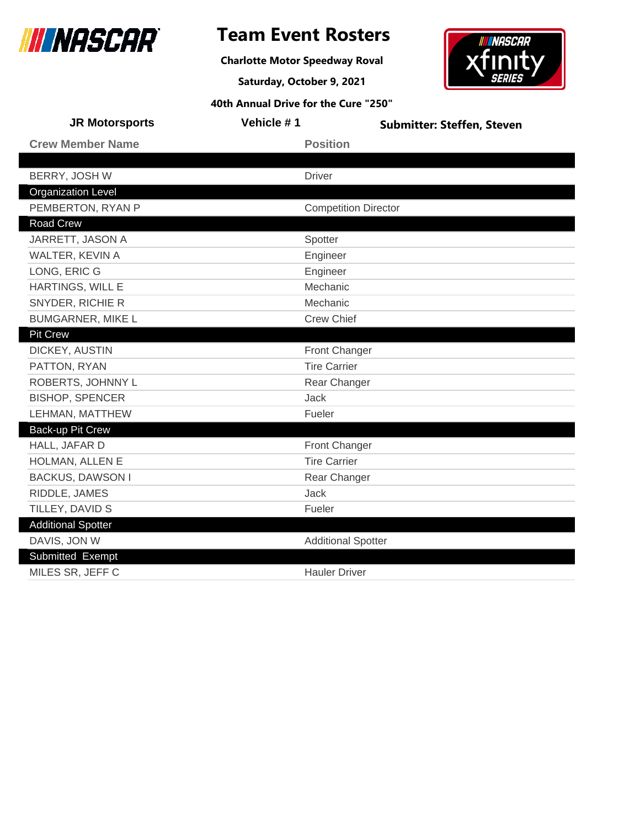

**Charlotte Motor Speedway Roval**

**Saturday, October 9, 2021**



| <b>JR Motorsports</b>     | Vehicle #1                  | <b>Submitter: Steffen, Steven</b> |
|---------------------------|-----------------------------|-----------------------------------|
| <b>Crew Member Name</b>   | <b>Position</b>             |                                   |
|                           |                             |                                   |
| BERRY, JOSH W             | <b>Driver</b>               |                                   |
| <b>Organization Level</b> |                             |                                   |
| PEMBERTON, RYAN P         | <b>Competition Director</b> |                                   |
| <b>Road Crew</b>          |                             |                                   |
| JARRETT, JASON A          | Spotter                     |                                   |
| WALTER, KEVIN A           | Engineer                    |                                   |
| LONG, ERIC G              | Engineer                    |                                   |
| HARTINGS, WILL E          | Mechanic                    |                                   |
| SNYDER, RICHIE R          | Mechanic                    |                                   |
| <b>BUMGARNER, MIKE L</b>  | Crew Chief                  |                                   |
| <b>Pit Crew</b>           |                             |                                   |
| DICKEY, AUSTIN            | Front Changer               |                                   |
| PATTON, RYAN              | <b>Tire Carrier</b>         |                                   |
| ROBERTS, JOHNNY L         | Rear Changer                |                                   |
| <b>BISHOP, SPENCER</b>    | <b>Jack</b>                 |                                   |
| LEHMAN, MATTHEW           | Fueler                      |                                   |
| Back-up Pit Crew          |                             |                                   |
| HALL, JAFAR D             | <b>Front Changer</b>        |                                   |
| HOLMAN, ALLEN E           | <b>Tire Carrier</b>         |                                   |
| <b>BACKUS, DAWSON I</b>   | Rear Changer                |                                   |
| RIDDLE, JAMES             | <b>Jack</b>                 |                                   |
| TILLEY, DAVID S           | Fueler                      |                                   |
| <b>Additional Spotter</b> |                             |                                   |
| DAVIS, JON W              | <b>Additional Spotter</b>   |                                   |
| Submitted Exempt          |                             |                                   |
| MILES SR, JEFF C          | <b>Hauler Driver</b>        |                                   |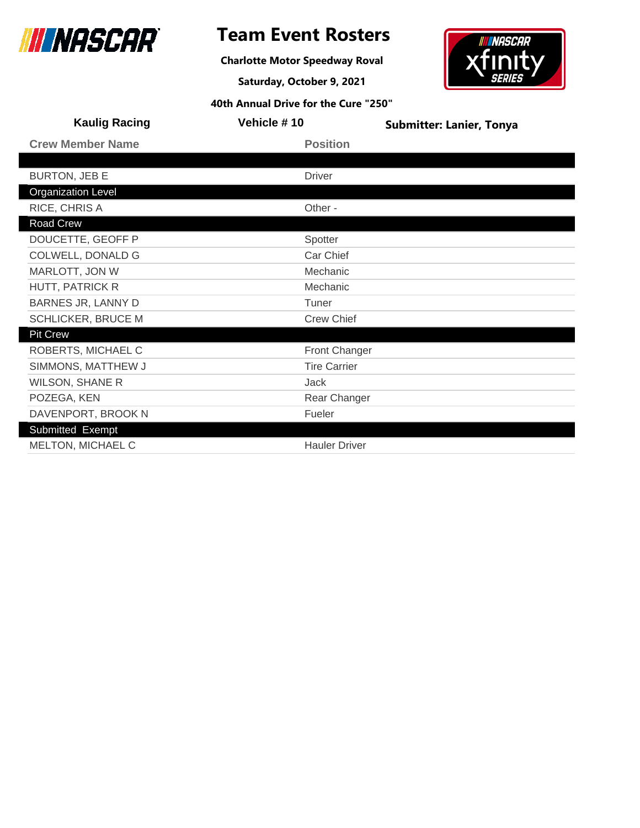

**Charlotte Motor Speedway Roval**

**Saturday, October 9, 2021**



| <b>Kaulig Racing</b>      | Vehicle #10          | <b>Submitter: Lanier, Tonya</b> |
|---------------------------|----------------------|---------------------------------|
| <b>Crew Member Name</b>   | <b>Position</b>      |                                 |
|                           |                      |                                 |
| <b>BURTON, JEB E</b>      | <b>Driver</b>        |                                 |
| <b>Organization Level</b> |                      |                                 |
| RICE, CHRIS A             | Other -              |                                 |
| Road Crew                 |                      |                                 |
| DOUCETTE, GEOFF P         | Spotter              |                                 |
| COLWELL, DONALD G         | Car Chief            |                                 |
| MARLOTT, JON W            | Mechanic             |                                 |
| <b>HUTT, PATRICK R</b>    | Mechanic             |                                 |
| BARNES JR, LANNY D        | Tuner                |                                 |
| <b>SCHLICKER, BRUCE M</b> | <b>Crew Chief</b>    |                                 |
| <b>Pit Crew</b>           |                      |                                 |
| ROBERTS, MICHAEL C        | <b>Front Changer</b> |                                 |
| SIMMONS, MATTHEW J        | <b>Tire Carrier</b>  |                                 |
| <b>WILSON, SHANE R</b>    | Jack                 |                                 |
| POZEGA, KEN               | Rear Changer         |                                 |
| DAVENPORT, BROOK N        | Fueler               |                                 |
| Submitted Exempt          |                      |                                 |
| MELTON, MICHAEL C         | <b>Hauler Driver</b> |                                 |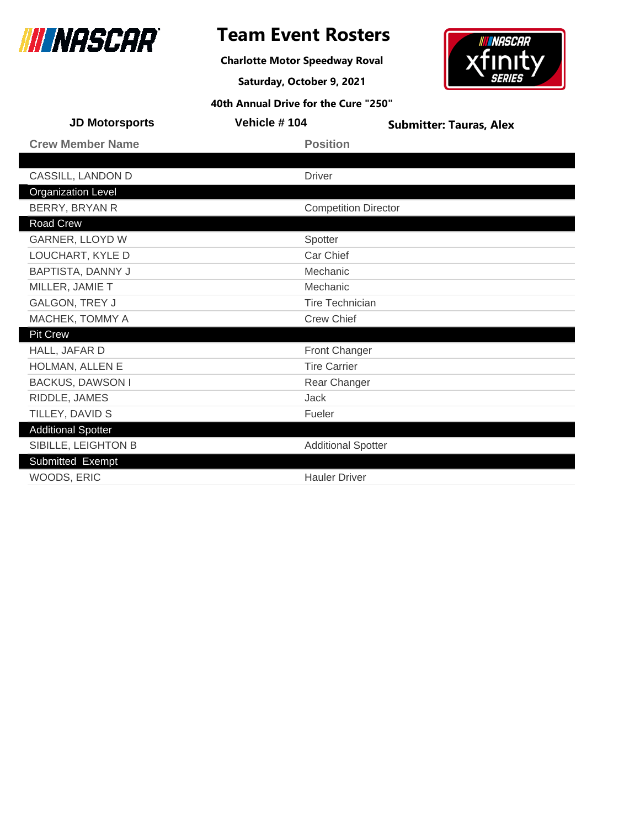

### **Team Event Rosters**

**Charlotte Motor Speedway Roval**

**Saturday, October 9, 2021**



| <b>JD Motorsports</b>     | Vehicle #104                | <b>Submitter: Tauras, Alex</b> |
|---------------------------|-----------------------------|--------------------------------|
| <b>Crew Member Name</b>   | <b>Position</b>             |                                |
|                           |                             |                                |
| CASSILL, LANDON D         | <b>Driver</b>               |                                |
| <b>Organization Level</b> |                             |                                |
| BERRY, BRYAN R            | <b>Competition Director</b> |                                |
| Road Crew                 |                             |                                |
| GARNER, LLOYD W           | Spotter                     |                                |
| LOUCHART, KYLE D          | Car Chief                   |                                |
| <b>BAPTISTA, DANNY J</b>  | Mechanic                    |                                |
| MILLER, JAMIE T           | Mechanic                    |                                |
| GALGON, TREY J            | <b>Tire Technician</b>      |                                |
| MACHEK, TOMMY A           | <b>Crew Chief</b>           |                                |
| Pit Crew                  |                             |                                |
| HALL, JAFAR D             | Front Changer               |                                |
| HOLMAN, ALLEN E           | <b>Tire Carrier</b>         |                                |
| <b>BACKUS, DAWSON I</b>   | Rear Changer                |                                |
| RIDDLE, JAMES             | Jack                        |                                |
| TILLEY, DAVID S           | Fueler                      |                                |
| <b>Additional Spotter</b> |                             |                                |
| SIBILLE, LEIGHTON B       | <b>Additional Spotter</b>   |                                |
| Submitted Exempt          |                             |                                |
| WOODS, ERIC               | <b>Hauler Driver</b>        |                                |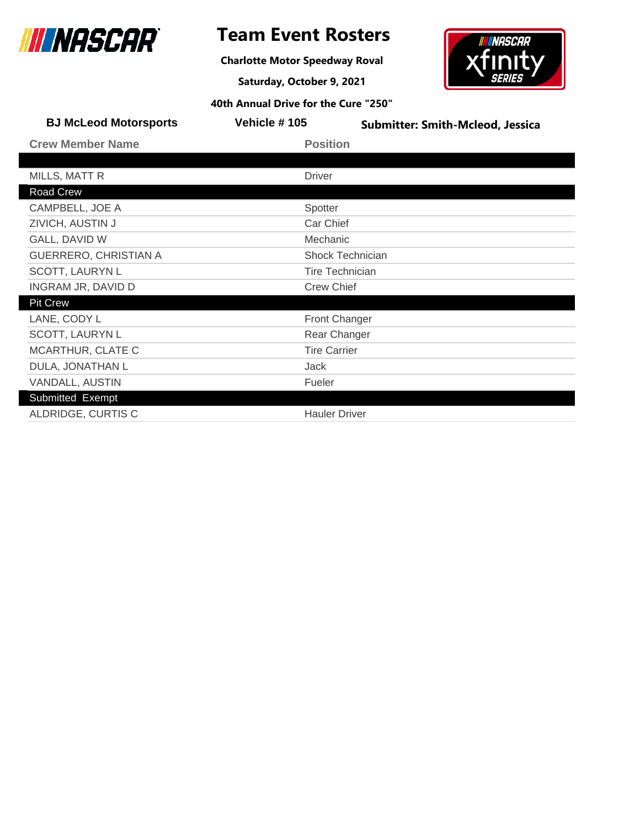

**Charlotte Motor Speedway Roval**

**Saturday, October 9, 2021**



| <b>BJ McLeod Motorsports</b> | Vehicle #105           | <b>Submitter: Smith-Mcleod, Jessica</b> |
|------------------------------|------------------------|-----------------------------------------|
| <b>Crew Member Name</b>      | <b>Position</b>        |                                         |
|                              |                        |                                         |
| MILLS, MATT R                | <b>Driver</b>          |                                         |
| Road Crew                    |                        |                                         |
| CAMPBELL, JOE A              | Spotter                |                                         |
| ZIVICH, AUSTIN J             | Car Chief              |                                         |
| GALL, DAVID W                | Mechanic               |                                         |
| <b>GUERRERO, CHRISTIAN A</b> | Shock Technician       |                                         |
| <b>SCOTT, LAURYN L</b>       | <b>Tire Technician</b> |                                         |
| INGRAM JR, DAVID D           | <b>Crew Chief</b>      |                                         |
| <b>Pit Crew</b>              |                        |                                         |
| LANE, CODY L                 | <b>Front Changer</b>   |                                         |
| <b>SCOTT, LAURYN L</b>       | Rear Changer           |                                         |
| MCARTHUR, CLATE C            | <b>Tire Carrier</b>    |                                         |
| DULA, JONATHAN L             | Jack                   |                                         |
| VANDALL, AUSTIN              | Fueler                 |                                         |
| Submitted Exempt             |                        |                                         |
| ALDRIDGE, CURTIS C           | <b>Hauler Driver</b>   |                                         |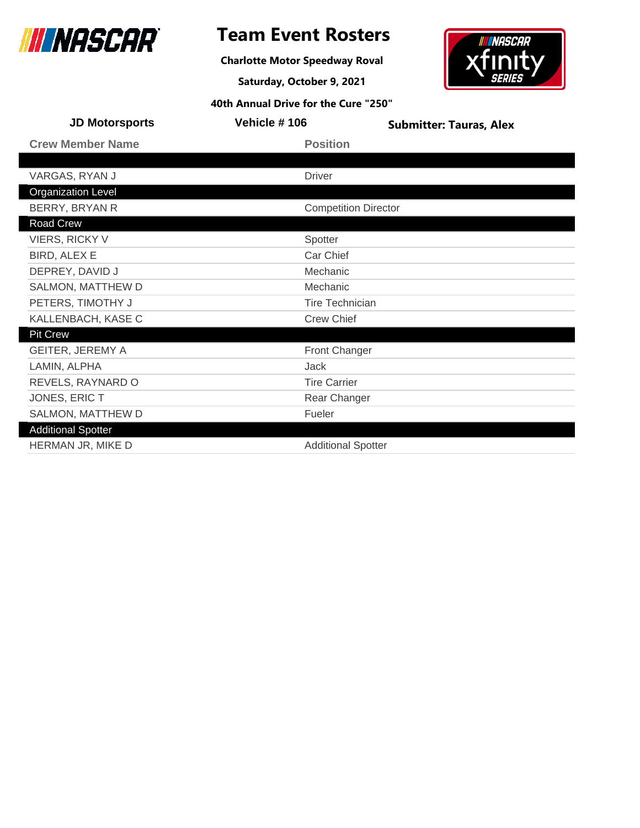

**Charlotte Motor Speedway Roval**

**Saturday, October 9, 2021**



| <b>JD Motorsports</b>     | Vehicle #106                | <b>Submitter: Tauras, Alex</b> |
|---------------------------|-----------------------------|--------------------------------|
| <b>Crew Member Name</b>   | <b>Position</b>             |                                |
|                           |                             |                                |
| VARGAS, RYAN J            | <b>Driver</b>               |                                |
| <b>Organization Level</b> |                             |                                |
| BERRY, BRYAN R            | <b>Competition Director</b> |                                |
| Road Crew                 |                             |                                |
| <b>VIERS, RICKY V</b>     | Spotter                     |                                |
| BIRD, ALEX E              | Car Chief                   |                                |
| DEPREY, DAVID J           | Mechanic                    |                                |
| SALMON, MATTHEW D         | Mechanic                    |                                |
| PETERS, TIMOTHY J         | <b>Tire Technician</b>      |                                |
| KALLENBACH, KASE C        | <b>Crew Chief</b>           |                                |
| <b>Pit Crew</b>           |                             |                                |
| <b>GEITER, JEREMY A</b>   | <b>Front Changer</b>        |                                |
| LAMIN, ALPHA              | Jack                        |                                |
| REVELS, RAYNARD O         | <b>Tire Carrier</b>         |                                |
| JONES, ERIC T             | Rear Changer                |                                |
| SALMON, MATTHEW D         | Fueler                      |                                |
| <b>Additional Spotter</b> |                             |                                |
| HERMAN JR, MIKE D         | <b>Additional Spotter</b>   |                                |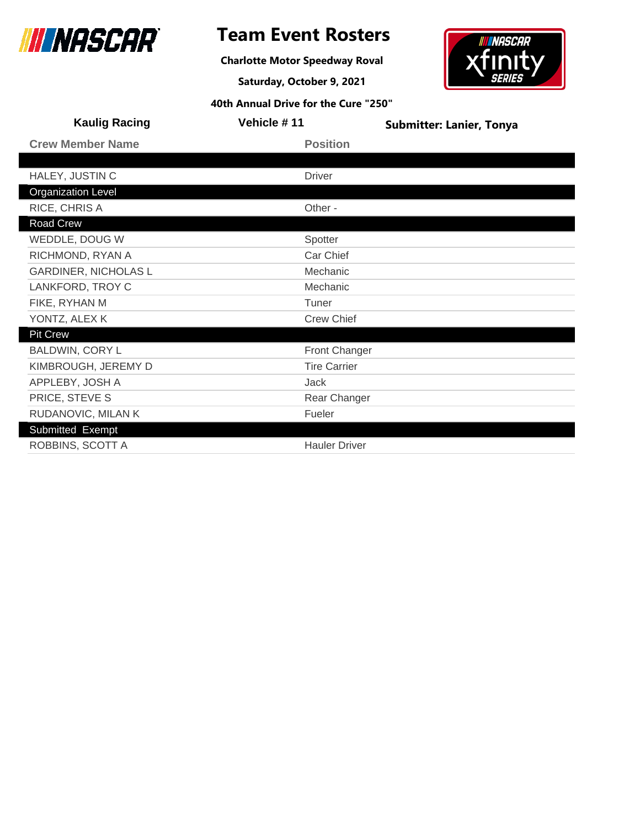

### **Team Event Rosters**

**Charlotte Motor Speedway Roval**

**Saturday, October 9, 2021**

# xfır

**INASCAR** 

| <b>Kaulig Racing</b>        | Vehicle #11          | <b>Submitter: Lanier, Tonya</b> |
|-----------------------------|----------------------|---------------------------------|
| <b>Crew Member Name</b>     | <b>Position</b>      |                                 |
|                             |                      |                                 |
| HALEY, JUSTIN C             | <b>Driver</b>        |                                 |
| <b>Organization Level</b>   |                      |                                 |
| RICE, CHRIS A               | Other -              |                                 |
| Road Crew                   |                      |                                 |
| WEDDLE, DOUG W              | Spotter              |                                 |
| RICHMOND, RYAN A            | Car Chief            |                                 |
| <b>GARDINER, NICHOLAS L</b> | Mechanic             |                                 |
| LANKFORD, TROY C            | Mechanic             |                                 |
| FIKE, RYHAN M               | Tuner                |                                 |
| YONTZ, ALEX K               | <b>Crew Chief</b>    |                                 |
| <b>Pit Crew</b>             |                      |                                 |
| <b>BALDWIN, CORY L</b>      | <b>Front Changer</b> |                                 |
| KIMBROUGH, JEREMY D         | <b>Tire Carrier</b>  |                                 |
| APPLEBY, JOSH A             | Jack                 |                                 |
| PRICE, STEVE S              | Rear Changer         |                                 |
| RUDANOVIC, MILAN K          | Fueler               |                                 |
| Submitted Exempt            |                      |                                 |
| ROBBINS, SCOTT A            | <b>Hauler Driver</b> |                                 |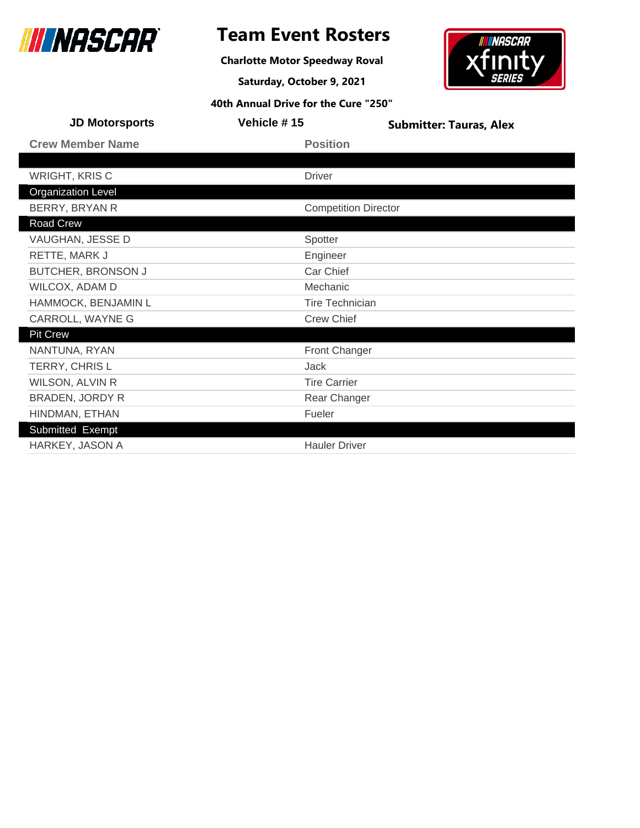

### **Team Event Rosters**

**Charlotte Motor Speedway Roval**

**Saturday, October 9, 2021**

**INASCAR** 

| 40th Annual Drive for the Cure "250" |                             |                                |  |
|--------------------------------------|-----------------------------|--------------------------------|--|
| <b>JD Motorsports</b>                | Vehicle #15                 | <b>Submitter: Tauras, Alex</b> |  |
| <b>Crew Member Name</b>              | <b>Position</b>             |                                |  |
|                                      |                             |                                |  |
| <b>WRIGHT, KRIS C</b>                | <b>Driver</b>               |                                |  |
| <b>Organization Level</b>            |                             |                                |  |
| BERRY, BRYAN R                       | <b>Competition Director</b> |                                |  |
| Road Crew                            |                             |                                |  |
| VAUGHAN, JESSE D                     | Spotter                     |                                |  |
| RETTE, MARK J                        | Engineer                    |                                |  |
| BUTCHER, BRONSON J                   | Car Chief                   |                                |  |
| WILCOX, ADAM D                       | Mechanic                    |                                |  |
| HAMMOCK, BENJAMIN L                  | Tire Technician             |                                |  |
| CARROLL, WAYNE G                     | <b>Crew Chief</b>           |                                |  |
| <b>Pit Crew</b>                      |                             |                                |  |
| NANTUNA, RYAN                        | <b>Front Changer</b>        |                                |  |
| TERRY, CHRIS L                       | Jack                        |                                |  |
| <b>WILSON, ALVIN R</b>               | <b>Tire Carrier</b>         |                                |  |
| <b>BRADEN, JORDY R</b>               | Rear Changer                |                                |  |
| HINDMAN, ETHAN                       | Fueler                      |                                |  |
| Submitted Exempt                     |                             |                                |  |
| HARKEY, JASON A                      | <b>Hauler Driver</b>        |                                |  |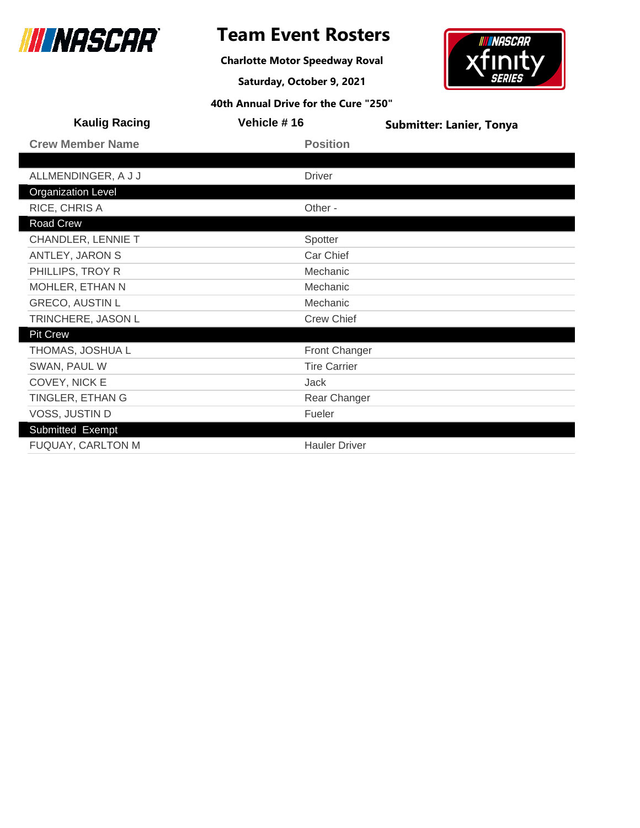

**Charlotte Motor Speedway Roval**

**Saturday, October 9, 2021**



| <b>Kaulig Racing</b>      | Vehicle #16          | <b>Submitter: Lanier, Tonya</b> |
|---------------------------|----------------------|---------------------------------|
| <b>Crew Member Name</b>   | <b>Position</b>      |                                 |
|                           |                      |                                 |
| ALLMENDINGER, A J J       | <b>Driver</b>        |                                 |
| <b>Organization Level</b> |                      |                                 |
| RICE, CHRIS A             | Other -              |                                 |
| Road Crew                 |                      |                                 |
| <b>CHANDLER, LENNIE T</b> | Spotter              |                                 |
| ANTLEY, JARON S           | Car Chief            |                                 |
| PHILLIPS, TROY R          | Mechanic             |                                 |
| MOHLER, ETHAN N           | Mechanic             |                                 |
| <b>GRECO, AUSTIN L</b>    | Mechanic             |                                 |
| TRINCHERE, JASON L        | <b>Crew Chief</b>    |                                 |
| <b>Pit Crew</b>           |                      |                                 |
| THOMAS, JOSHUA L          | <b>Front Changer</b> |                                 |
| SWAN, PAUL W              | <b>Tire Carrier</b>  |                                 |
| COVEY, NICK E             | Jack                 |                                 |
| TINGLER, ETHAN G          | Rear Changer         |                                 |
| VOSS, JUSTIN D            | Fueler               |                                 |
| Submitted Exempt          |                      |                                 |
| <b>FUQUAY, CARLTON M</b>  | <b>Hauler Driver</b> |                                 |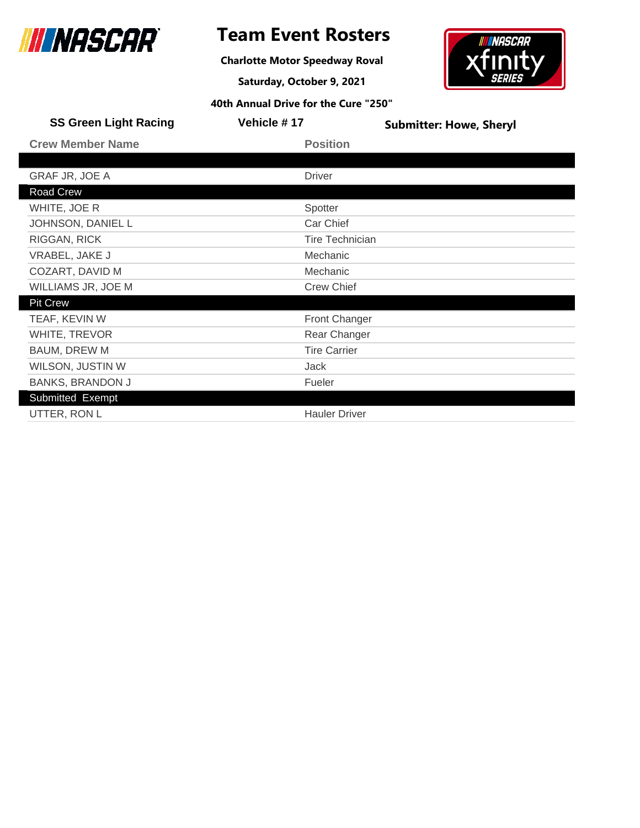

**Charlotte Motor Speedway Roval**

**Saturday, October 9, 2021**



| <b>SS Green Light Racing</b> | <b>Vehicle #17</b>     | <b>Submitter: Howe, Sheryl</b> |
|------------------------------|------------------------|--------------------------------|
| <b>Crew Member Name</b>      | <b>Position</b>        |                                |
|                              |                        |                                |
| <b>GRAF JR, JOE A</b>        | <b>Driver</b>          |                                |
| Road Crew                    |                        |                                |
| WHITE, JOE R                 | Spotter                |                                |
| JOHNSON, DANIEL L            | Car Chief              |                                |
| RIGGAN, RICK                 | <b>Tire Technician</b> |                                |
| VRABEL, JAKE J               | <b>Mechanic</b>        |                                |
| COZART, DAVID M              | Mechanic               |                                |
| WILLIAMS JR, JOE M           | <b>Crew Chief</b>      |                                |
| <b>Pit Crew</b>              |                        |                                |
| TEAF, KEVIN W                | <b>Front Changer</b>   |                                |
| WHITE, TREVOR                | Rear Changer           |                                |
| <b>BAUM, DREW M</b>          | <b>Tire Carrier</b>    |                                |
| WILSON, JUSTIN W             | <b>Jack</b>            |                                |
| <b>BANKS, BRANDON J</b>      | Fueler                 |                                |
| Submitted Exempt             |                        |                                |
| UTTER, RON L                 | <b>Hauler Driver</b>   |                                |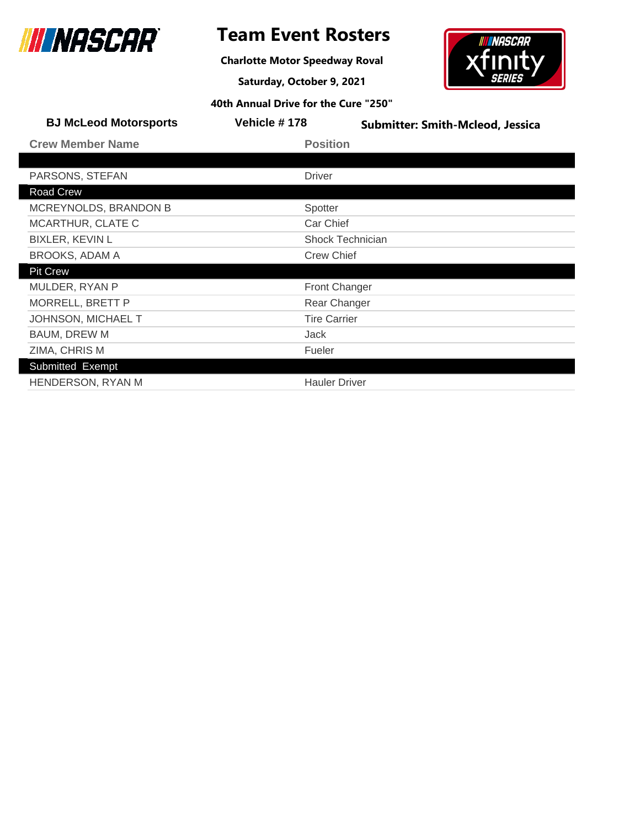

### **Team Event Rosters**

**Charlotte Motor Speedway Roval**

**Saturday, October 9, 2021**



| <b>BJ McLeod Motorsports</b> | Vehicle #178            | <b>Submitter: Smith-Mcleod, Jessica</b> |
|------------------------------|-------------------------|-----------------------------------------|
| <b>Crew Member Name</b>      | <b>Position</b>         |                                         |
|                              |                         |                                         |
| PARSONS, STEFAN              | <b>Driver</b>           |                                         |
| <b>Road Crew</b>             |                         |                                         |
| MCREYNOLDS, BRANDON B        | Spotter                 |                                         |
| MCARTHUR, CLATE C            | Car Chief               |                                         |
| <b>BIXLER, KEVIN L</b>       | <b>Shock Technician</b> |                                         |
| <b>BROOKS, ADAM A</b>        | <b>Crew Chief</b>       |                                         |
| <b>Pit Crew</b>              |                         |                                         |
| MULDER, RYAN P               | <b>Front Changer</b>    |                                         |
| MORRELL, BRETT P             | Rear Changer            |                                         |
| JOHNSON, MICHAEL T           | <b>Tire Carrier</b>     |                                         |
| <b>BAUM, DREW M</b>          | Jack                    |                                         |
| ZIMA, CHRIS M                | Fueler                  |                                         |
| Submitted Exempt             |                         |                                         |
| HENDERSON, RYAN M            | <b>Hauler Driver</b>    |                                         |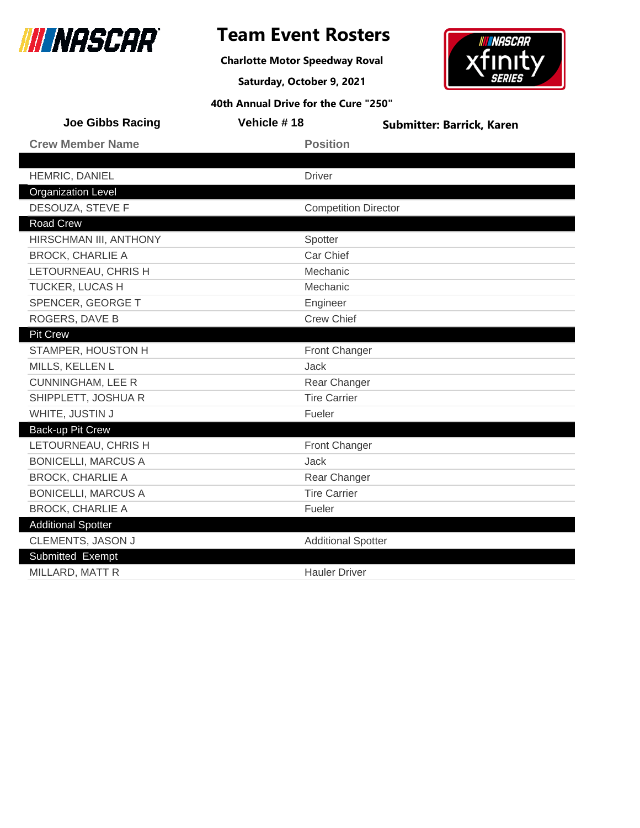

### **Team Event Rosters**

**Charlotte Motor Speedway Roval**

**Saturday, October 9, 2021**



| <b>Joe Gibbs Racing</b>    | Vehicle #18                 | <b>Submitter: Barrick, Karen</b> |
|----------------------------|-----------------------------|----------------------------------|
| <b>Crew Member Name</b>    | <b>Position</b>             |                                  |
|                            |                             |                                  |
| HEMRIC, DANIEL             | <b>Driver</b>               |                                  |
| <b>Organization Level</b>  |                             |                                  |
| DESOUZA, STEVE F           | <b>Competition Director</b> |                                  |
| Road Crew                  |                             |                                  |
| HIRSCHMAN III, ANTHONY     | Spotter                     |                                  |
| <b>BROCK, CHARLIE A</b>    | Car Chief                   |                                  |
| LETOURNEAU, CHRIS H        | Mechanic                    |                                  |
| TUCKER, LUCAS H            | Mechanic                    |                                  |
| SPENCER, GEORGE T          | Engineer                    |                                  |
| ROGERS, DAVE B             | <b>Crew Chief</b>           |                                  |
| <b>Pit Crew</b>            |                             |                                  |
| STAMPER, HOUSTON H         | Front Changer               |                                  |
| MILLS, KELLEN L            | <b>Jack</b>                 |                                  |
| <b>CUNNINGHAM, LEE R</b>   | Rear Changer                |                                  |
| SHIPPLETT, JOSHUA R        | <b>Tire Carrier</b>         |                                  |
| WHITE, JUSTIN J            | Fueler                      |                                  |
| Back-up Pit Crew           |                             |                                  |
| LETOURNEAU, CHRIS H        | Front Changer               |                                  |
| <b>BONICELLI, MARCUS A</b> | <b>Jack</b>                 |                                  |
| <b>BROCK, CHARLIE A</b>    | Rear Changer                |                                  |
| <b>BONICELLI, MARCUS A</b> | <b>Tire Carrier</b>         |                                  |
| <b>BROCK, CHARLIE A</b>    | Fueler                      |                                  |
| <b>Additional Spotter</b>  |                             |                                  |
| CLEMENTS, JASON J          | <b>Additional Spotter</b>   |                                  |
| Submitted Exempt           |                             |                                  |
| MILLARD, MATT R            | <b>Hauler Driver</b>        |                                  |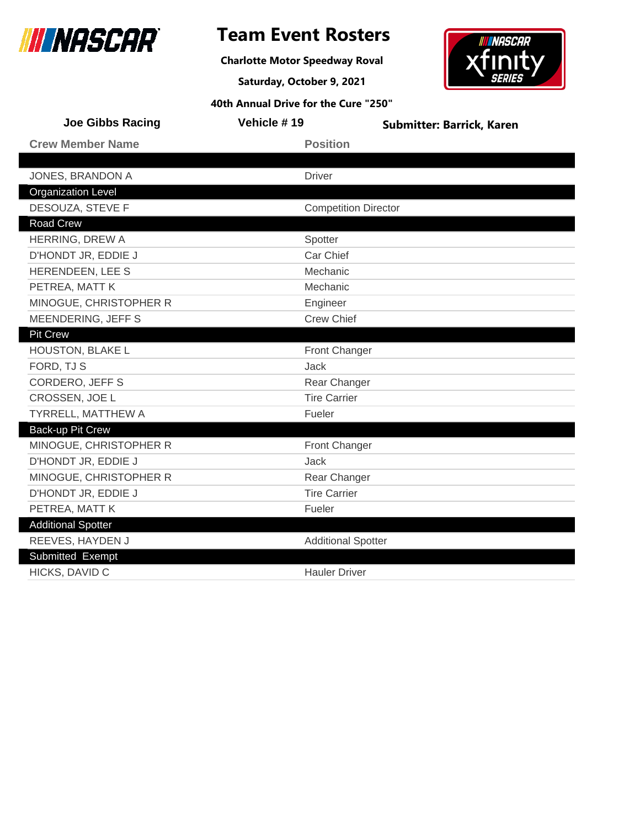

### **Team Event Rosters**

**Charlotte Motor Speedway Roval**

**Saturday, October 9, 2021**

## **IN INASCAR** xfın

| <b>Joe Gibbs Racing</b>   | Vehicle #19                 | <b>Submitter: Barrick, Karen</b> |
|---------------------------|-----------------------------|----------------------------------|
| <b>Crew Member Name</b>   | <b>Position</b>             |                                  |
|                           |                             |                                  |
| JONES, BRANDON A          | <b>Driver</b>               |                                  |
| <b>Organization Level</b> |                             |                                  |
| DESOUZA, STEVE F          | <b>Competition Director</b> |                                  |
| <b>Road Crew</b>          |                             |                                  |
| HERRING, DREW A           | Spotter                     |                                  |
| D'HONDT JR, EDDIE J       | Car Chief                   |                                  |
| HERENDEEN, LEE S          | Mechanic                    |                                  |
| PETREA, MATT K            | Mechanic                    |                                  |
| MINOGUE, CHRISTOPHER R    | Engineer                    |                                  |
| MEENDERING, JEFF S        | <b>Crew Chief</b>           |                                  |
| <b>Pit Crew</b>           |                             |                                  |
| HOUSTON, BLAKE L          | Front Changer               |                                  |
| FORD, TJ S                | <b>Jack</b>                 |                                  |
| <b>CORDERO, JEFF S</b>    | Rear Changer                |                                  |
| CROSSEN, JOE L            | <b>Tire Carrier</b>         |                                  |
| TYRRELL, MATTHEW A        | Fueler                      |                                  |
| <b>Back-up Pit Crew</b>   |                             |                                  |
| MINOGUE, CHRISTOPHER R    | <b>Front Changer</b>        |                                  |
| D'HONDT JR, EDDIE J       | Jack                        |                                  |
| MINOGUE, CHRISTOPHER R    | Rear Changer                |                                  |
| D'HONDT JR, EDDIE J       | <b>Tire Carrier</b>         |                                  |
| PETREA, MATT K            | Fueler                      |                                  |
| <b>Additional Spotter</b> |                             |                                  |
| REEVES, HAYDEN J          | <b>Additional Spotter</b>   |                                  |
| Submitted Exempt          |                             |                                  |
| HICKS, DAVID C            | <b>Hauler Driver</b>        |                                  |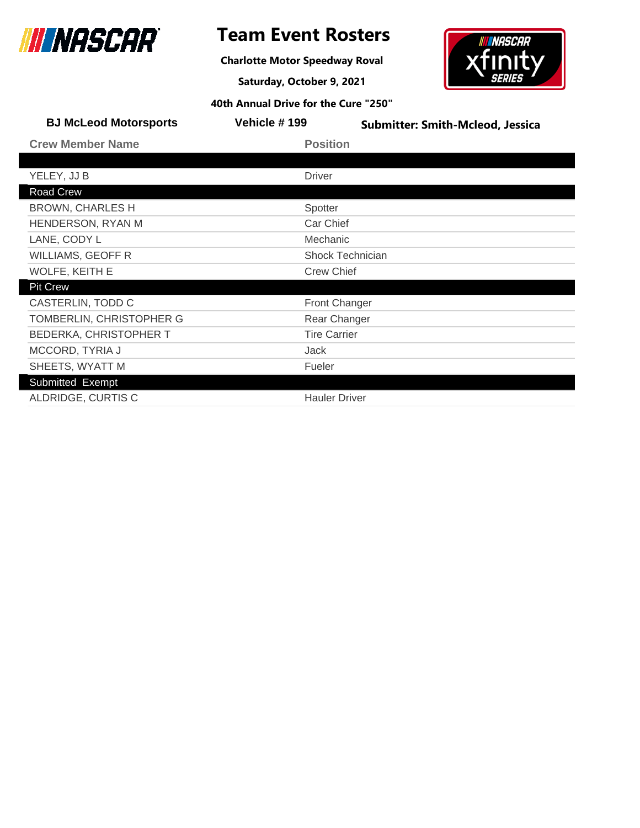

**Charlotte Motor Speedway Roval**

**Saturday, October 9, 2021**



| <b>BJ McLeod Motorsports</b>  | Vehicle #199         | <b>Submitter: Smith-Mcleod, Jessica</b> |
|-------------------------------|----------------------|-----------------------------------------|
| <b>Crew Member Name</b>       | <b>Position</b>      |                                         |
|                               |                      |                                         |
| YELEY, JJ B                   | <b>Driver</b>        |                                         |
| Road Crew                     |                      |                                         |
| <b>BROWN, CHARLES H</b>       | Spotter              |                                         |
| HENDERSON, RYAN M             | Car Chief            |                                         |
| LANE, CODY L                  | Mechanic             |                                         |
| <b>WILLIAMS, GEOFF R</b>      |                      | <b>Shock Technician</b>                 |
| WOLFE, KEITH E                | <b>Crew Chief</b>    |                                         |
| <b>Pit Crew</b>               |                      |                                         |
| CASTERLIN, TODD C             | <b>Front Changer</b> |                                         |
| TOMBERLIN, CHRISTOPHER G      | Rear Changer         |                                         |
| <b>BEDERKA, CHRISTOPHER T</b> | <b>Tire Carrier</b>  |                                         |
| MCCORD, TYRIA J               | Jack                 |                                         |
| SHEETS, WYATT M               | Fueler               |                                         |
| Submitted Exempt              |                      |                                         |
| ALDRIDGE, CURTIS C            | <b>Hauler Driver</b> |                                         |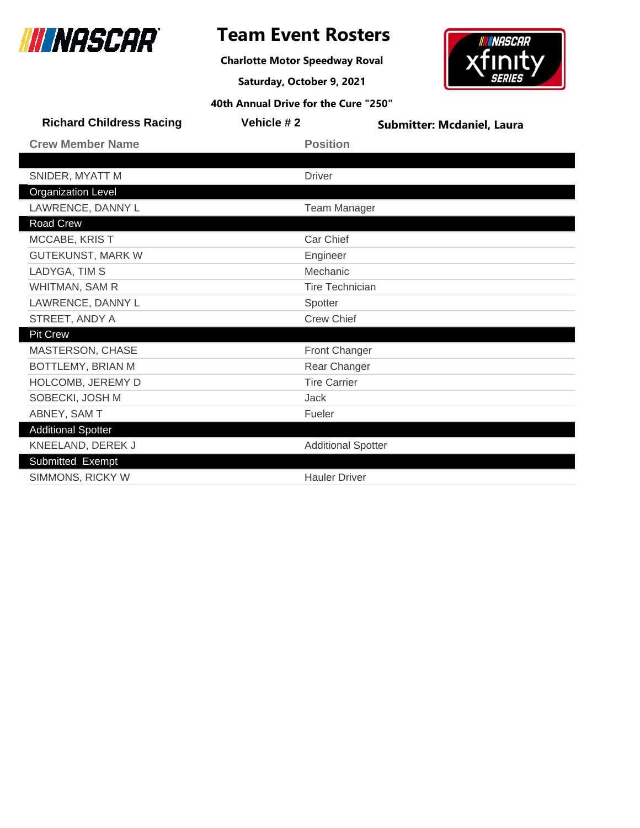

**Charlotte Motor Speedway Roval**

**Saturday, October 9, 2021**



| <b>Richard Childress Racing</b> | Vehicle #2 | <b>Submitter: Mcdaniel, Laura</b> |  |
|---------------------------------|------------|-----------------------------------|--|
| <b>Crew Member Name</b>         |            | <b>Position</b>                   |  |
|                                 |            |                                   |  |
| SNIDER, MYATT M                 |            | <b>Driver</b>                     |  |
| <b>Organization Level</b>       |            |                                   |  |
| LAWRENCE, DANNY L               |            | <b>Team Manager</b>               |  |
| Road Crew                       |            |                                   |  |
| MCCABE, KRIST                   |            | Car Chief                         |  |
| <b>GUTEKUNST, MARK W</b>        |            | Engineer                          |  |
| LADYGA, TIM S                   |            | Mechanic                          |  |
| WHITMAN, SAM R                  |            | <b>Tire Technician</b>            |  |
| LAWRENCE, DANNY L               |            | Spotter                           |  |
| STREET, ANDY A                  |            | <b>Crew Chief</b>                 |  |
| <b>Pit Crew</b>                 |            |                                   |  |
| MASTERSON, CHASE                |            | Front Changer                     |  |
| BOTTLEMY, BRIAN M               |            | Rear Changer                      |  |
| HOLCOMB, JEREMY D               |            | <b>Tire Carrier</b>               |  |
| SOBECKI, JOSH M                 |            | <b>Jack</b>                       |  |
| ABNEY, SAM T                    |            | Fueler                            |  |
| <b>Additional Spotter</b>       |            |                                   |  |
| KNEELAND, DEREK J               |            | <b>Additional Spotter</b>         |  |
| Submitted Exempt                |            |                                   |  |
| SIMMONS, RICKY W                |            | <b>Hauler Driver</b>              |  |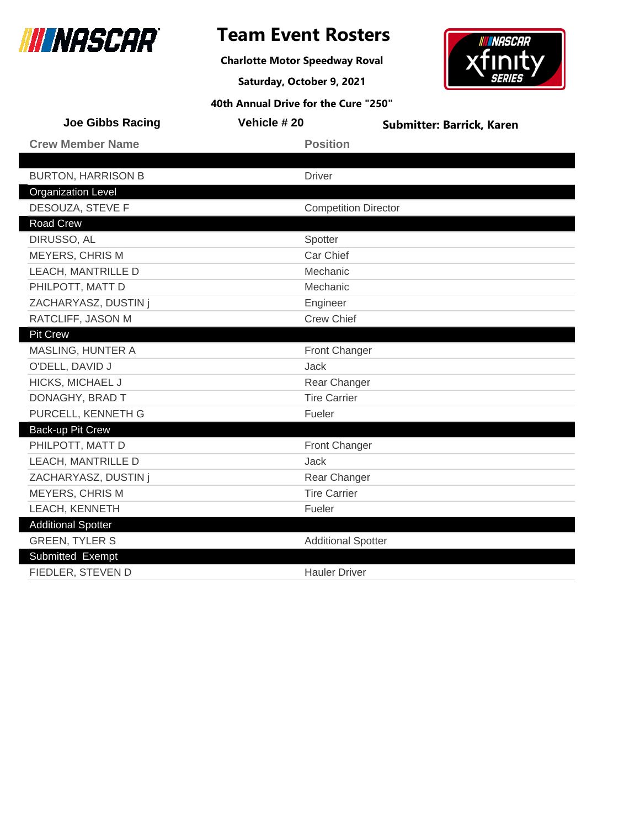

### **Team Event Rosters**

**Charlotte Motor Speedway Roval**

**Saturday, October 9, 2021 40th Annual Drive for the Cure "250"**

### **INASCAR** xfın

| <b>Joe Gibbs Racing</b>   | Vehicle #20                 | <b>Submitter: Barrick, Karen</b> |
|---------------------------|-----------------------------|----------------------------------|
| <b>Crew Member Name</b>   | <b>Position</b>             |                                  |
|                           |                             |                                  |
| <b>BURTON, HARRISON B</b> | <b>Driver</b>               |                                  |
| <b>Organization Level</b> |                             |                                  |
| DESOUZA, STEVE F          | <b>Competition Director</b> |                                  |
| Road Crew                 |                             |                                  |
| DIRUSSO, AL               | Spotter                     |                                  |
| <b>MEYERS, CHRIS M</b>    | Car Chief                   |                                  |
| LEACH, MANTRILLE D        | Mechanic                    |                                  |
| PHILPOTT, MATT D          | Mechanic                    |                                  |
| ZACHARYASZ, DUSTIN j      | Engineer                    |                                  |
| RATCLIFF, JASON M         | <b>Crew Chief</b>           |                                  |
| <b>Pit Crew</b>           |                             |                                  |
| MASLING, HUNTER A         | Front Changer               |                                  |
| O'DELL, DAVID J           | Jack                        |                                  |
| HICKS, MICHAEL J          | Rear Changer                |                                  |
| DONAGHY, BRAD T           | <b>Tire Carrier</b>         |                                  |
| PURCELL, KENNETH G        | Fueler                      |                                  |
| Back-up Pit Crew          |                             |                                  |
| PHILPOTT, MATT D          | <b>Front Changer</b>        |                                  |
| LEACH, MANTRILLE D        | Jack                        |                                  |
| ZACHARYASZ, DUSTIN j      | Rear Changer                |                                  |
| <b>MEYERS, CHRIS M</b>    | <b>Tire Carrier</b>         |                                  |
| LEACH, KENNETH            | Fueler                      |                                  |
| <b>Additional Spotter</b> |                             |                                  |
| <b>GREEN, TYLER S</b>     | <b>Additional Spotter</b>   |                                  |
| Submitted Exempt          |                             |                                  |
| FIEDLER, STEVEN D         | <b>Hauler Driver</b>        |                                  |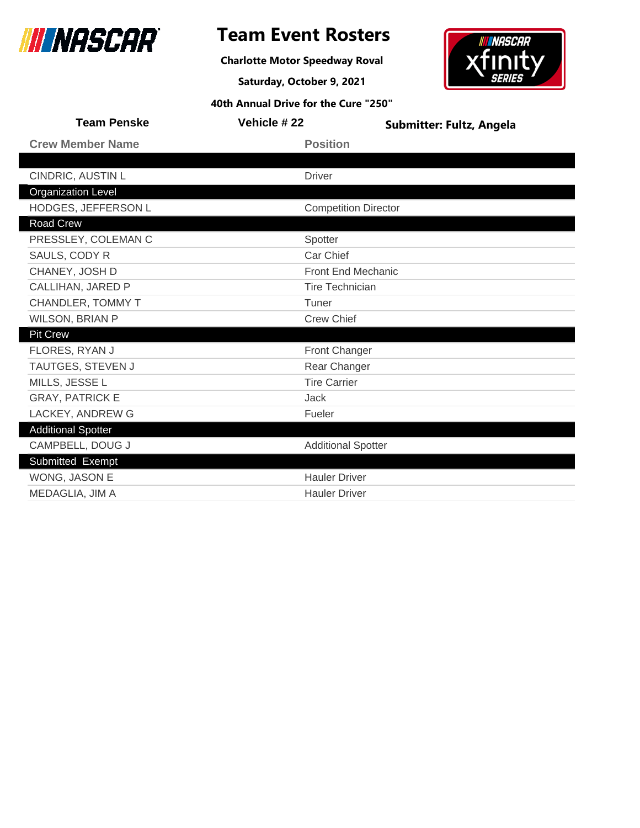

### **Team Event Rosters**

**Charlotte Motor Speedway Roval**

**Saturday, October 9, 2021**



| <b>Team Penske</b>        | Vehicle #22                 | Submitter: Fultz, Angela |
|---------------------------|-----------------------------|--------------------------|
| <b>Crew Member Name</b>   | <b>Position</b>             |                          |
|                           |                             |                          |
| CINDRIC, AUSTIN L         | <b>Driver</b>               |                          |
| <b>Organization Level</b> |                             |                          |
| HODGES, JEFFERSON L       | <b>Competition Director</b> |                          |
| <b>Road Crew</b>          |                             |                          |
| PRESSLEY, COLEMAN C       | Spotter                     |                          |
| SAULS, CODY R             | Car Chief                   |                          |
| CHANEY, JOSH D            | <b>Front End Mechanic</b>   |                          |
| CALLIHAN, JARED P         | <b>Tire Technician</b>      |                          |
| CHANDLER, TOMMY T         | Tuner                       |                          |
| <b>WILSON, BRIAN P</b>    | <b>Crew Chief</b>           |                          |
| Pit Crew                  |                             |                          |
| FLORES, RYAN J            | Front Changer               |                          |
| TAUTGES, STEVEN J         | Rear Changer                |                          |
| MILLS, JESSE L            | <b>Tire Carrier</b>         |                          |
| <b>GRAY, PATRICK E</b>    | Jack                        |                          |
| LACKEY, ANDREW G          | Fueler                      |                          |
| <b>Additional Spotter</b> |                             |                          |
| CAMPBELL, DOUG J          | <b>Additional Spotter</b>   |                          |
| Submitted Exempt          |                             |                          |
| WONG, JASON E             | <b>Hauler Driver</b>        |                          |
| MEDAGLIA, JIM A           | <b>Hauler Driver</b>        |                          |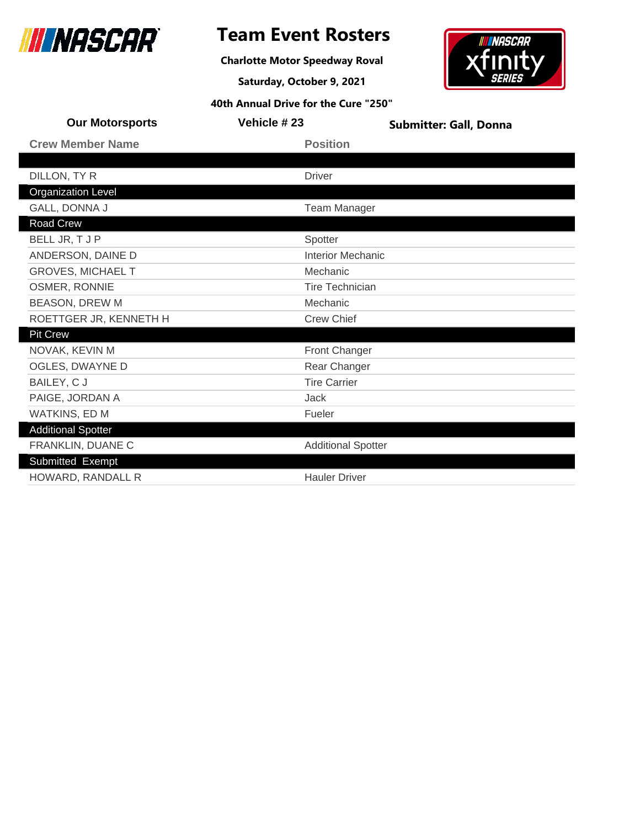

**Charlotte Motor Speedway Roval**

**Saturday, October 9, 2021**

### **INASCAR** xfın

| <b>Our Motorsports</b>    | Vehicle #23               | <b>Submitter: Gall, Donna</b> |
|---------------------------|---------------------------|-------------------------------|
| <b>Crew Member Name</b>   | <b>Position</b>           |                               |
|                           |                           |                               |
| DILLON, TY R              | <b>Driver</b>             |                               |
| <b>Organization Level</b> |                           |                               |
| GALL, DONNA J             | <b>Team Manager</b>       |                               |
| Road Crew                 |                           |                               |
| BELL JR, T J P            | Spotter                   |                               |
| ANDERSON, DAINE D         | <b>Interior Mechanic</b>  |                               |
| <b>GROVES, MICHAEL T</b>  | Mechanic                  |                               |
| OSMER, RONNIE             | <b>Tire Technician</b>    |                               |
| <b>BEASON, DREW M</b>     | Mechanic                  |                               |
| ROETTGER JR, KENNETH H    | <b>Crew Chief</b>         |                               |
| <b>Pit Crew</b>           |                           |                               |
| NOVAK, KEVIN M            | <b>Front Changer</b>      |                               |
| OGLES, DWAYNE D           | Rear Changer              |                               |
| BAILEY, CJ                | <b>Tire Carrier</b>       |                               |
| PAIGE, JORDAN A           | Jack                      |                               |
| WATKINS, ED M             | Fueler                    |                               |
| <b>Additional Spotter</b> |                           |                               |
| FRANKLIN, DUANE C         | <b>Additional Spotter</b> |                               |
| Submitted Exempt          |                           |                               |
| HOWARD, RANDALL R         | <b>Hauler Driver</b>      |                               |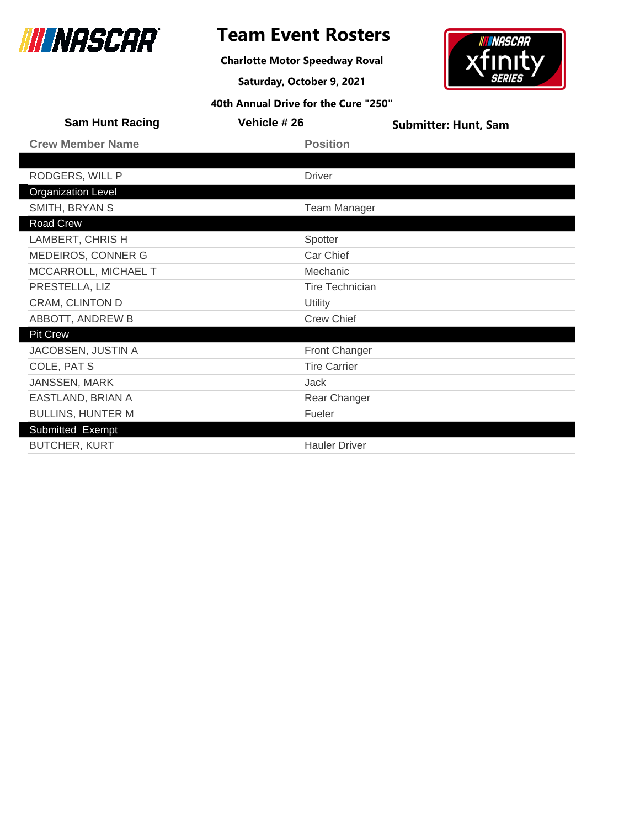

**Charlotte Motor Speedway Roval**

**Saturday, October 9, 2021**



| <b>Sam Hunt Racing</b>    | Vehicle #26            | <b>Submitter: Hunt, Sam</b> |
|---------------------------|------------------------|-----------------------------|
| <b>Crew Member Name</b>   | <b>Position</b>        |                             |
|                           |                        |                             |
| RODGERS, WILL P           | <b>Driver</b>          |                             |
| <b>Organization Level</b> |                        |                             |
| SMITH, BRYAN S            | <b>Team Manager</b>    |                             |
| Road Crew                 |                        |                             |
| LAMBERT, CHRIS H          | Spotter                |                             |
| MEDEIROS, CONNER G        | Car Chief              |                             |
| MCCARROLL, MICHAEL T      | Mechanic               |                             |
| PRESTELLA, LIZ            | <b>Tire Technician</b> |                             |
| CRAM, CLINTON D           | Utility                |                             |
| ABBOTT, ANDREW B          | <b>Crew Chief</b>      |                             |
| <b>Pit Crew</b>           |                        |                             |
| JACOBSEN, JUSTIN A        | <b>Front Changer</b>   |                             |
| COLE, PAT S               | <b>Tire Carrier</b>    |                             |
| JANSSEN, MARK             | Jack                   |                             |
| EASTLAND, BRIAN A         | Rear Changer           |                             |
| <b>BULLINS, HUNTER M</b>  | Fueler                 |                             |
| Submitted Exempt          |                        |                             |
| <b>BUTCHER, KURT</b>      | <b>Hauler Driver</b>   |                             |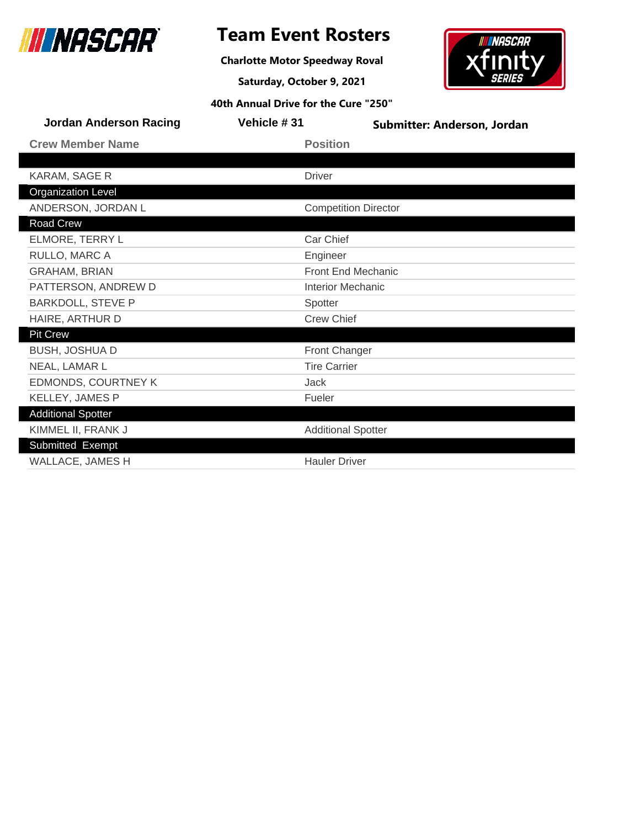

**Charlotte Motor Speedway Roval**

**Saturday, October 9, 2021**



| <b>Jordan Anderson Racing</b> | Vehicle #31   | Submitter: Anderson, Jordan |
|-------------------------------|---------------|-----------------------------|
| <b>Crew Member Name</b>       |               | <b>Position</b>             |
|                               |               |                             |
| KARAM, SAGE R                 | <b>Driver</b> |                             |
| <b>Organization Level</b>     |               |                             |
| ANDERSON, JORDAN L            |               | <b>Competition Director</b> |
| Road Crew                     |               |                             |
| ELMORE, TERRY L               |               | Car Chief                   |
| RULLO, MARC A                 | Engineer      |                             |
| <b>GRAHAM, BRIAN</b>          |               | <b>Front End Mechanic</b>   |
| PATTERSON, ANDREW D           |               | <b>Interior Mechanic</b>    |
| <b>BARKDOLL, STEVE P</b>      | Spotter       |                             |
| HAIRE, ARTHUR D               |               | <b>Crew Chief</b>           |
| <b>Pit Crew</b>               |               |                             |
| <b>BUSH, JOSHUA D</b>         |               | <b>Front Changer</b>        |
| NEAL, LAMAR L                 |               | <b>Tire Carrier</b>         |
| <b>EDMONDS, COURTNEY K</b>    | Jack          |                             |
| <b>KELLEY, JAMES P</b>        | Fueler        |                             |
| <b>Additional Spotter</b>     |               |                             |
| KIMMEL II, FRANK J            |               | <b>Additional Spotter</b>   |
| Submitted Exempt              |               |                             |
| <b>WALLACE, JAMES H</b>       |               | <b>Hauler Driver</b>        |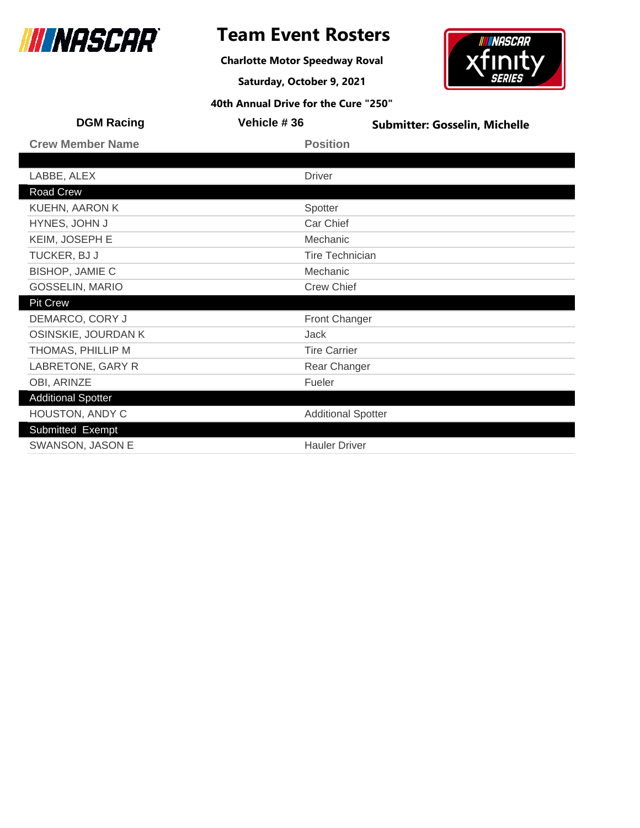

**Charlotte Motor Speedway Roval**

**Saturday, October 9, 2021**



| <b>DGM Racing</b>                           | Vehicle #36            | <b>Submitter: Gosselin, Michelle</b> |
|---------------------------------------------|------------------------|--------------------------------------|
| <b>Crew Member Name</b>                     | <b>Position</b>        |                                      |
|                                             |                        |                                      |
| LABBE, ALEX                                 | <b>Driver</b>          |                                      |
| Road Crew                                   |                        |                                      |
| KUEHN, AARON K                              | Spotter                |                                      |
| HYNES, JOHN J                               | Car Chief              |                                      |
| KEIM, JOSEPH E                              | Mechanic               |                                      |
| TUCKER, BJ J                                | <b>Tire Technician</b> |                                      |
| <b>BISHOP, JAMIE C</b>                      | Mechanic               |                                      |
| <b>GOSSELIN, MARIO</b><br><b>Crew Chief</b> |                        |                                      |
| <b>Pit Crew</b>                             |                        |                                      |
| DEMARCO, CORY J                             | Front Changer          |                                      |
| OSINSKIE, JOURDAN K                         | Jack                   |                                      |
| THOMAS, PHILLIP M                           | <b>Tire Carrier</b>    |                                      |
| LABRETONE, GARY R                           | Rear Changer           |                                      |
| OBI, ARINZE                                 | Fueler                 |                                      |
| <b>Additional Spotter</b>                   |                        |                                      |
| HOUSTON, ANDY C                             |                        | <b>Additional Spotter</b>            |
| Submitted Exempt                            |                        |                                      |
| SWANSON, JASON E                            | <b>Hauler Driver</b>   |                                      |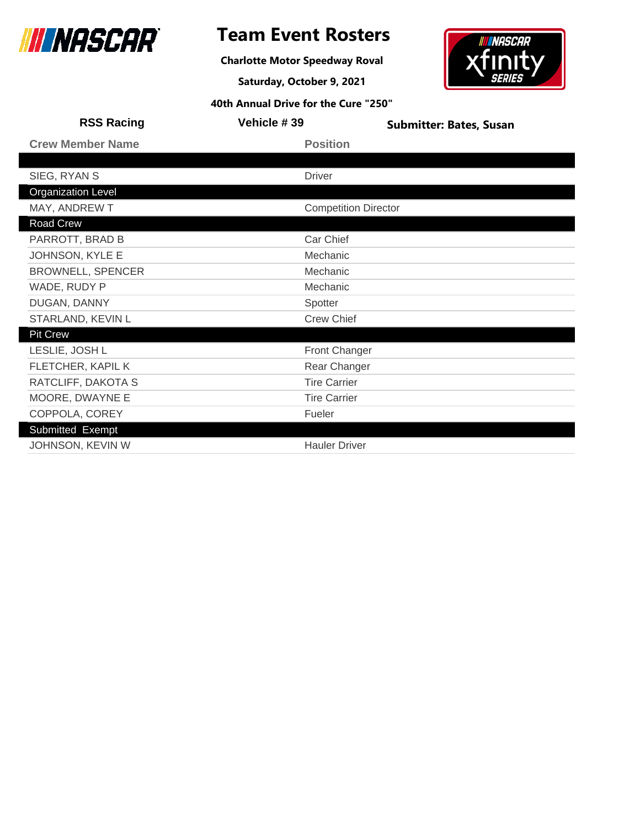

### **Team Event Rosters**

**Charlotte Motor Speedway Roval**

**Saturday, October 9, 2021**



| <b>RSS Racing</b>         | Vehicle #39                 | <b>Submitter: Bates, Susan</b> |
|---------------------------|-----------------------------|--------------------------------|
| <b>Crew Member Name</b>   | <b>Position</b>             |                                |
|                           |                             |                                |
| SIEG, RYAN S              | <b>Driver</b>               |                                |
| <b>Organization Level</b> |                             |                                |
| MAY, ANDREW T             | <b>Competition Director</b> |                                |
| Road Crew                 |                             |                                |
| PARROTT, BRAD B           | Car Chief                   |                                |
| JOHNSON, KYLE E           | Mechanic                    |                                |
| <b>BROWNELL, SPENCER</b>  | Mechanic                    |                                |
| WADE, RUDY P              | Mechanic                    |                                |
| DUGAN, DANNY              | Spotter                     |                                |
| STARLAND, KEVIN L         | <b>Crew Chief</b>           |                                |
| <b>Pit Crew</b>           |                             |                                |
| LESLIE, JOSH L            | Front Changer               |                                |
| FLETCHER, KAPIL K         | Rear Changer                |                                |
| RATCLIFF, DAKOTA S        | <b>Tire Carrier</b>         |                                |
| MOORE, DWAYNE E           | <b>Tire Carrier</b>         |                                |
| COPPOLA, COREY            | Fueler                      |                                |
| Submitted Exempt          |                             |                                |
| JOHNSON, KEVIN W          | <b>Hauler Driver</b>        |                                |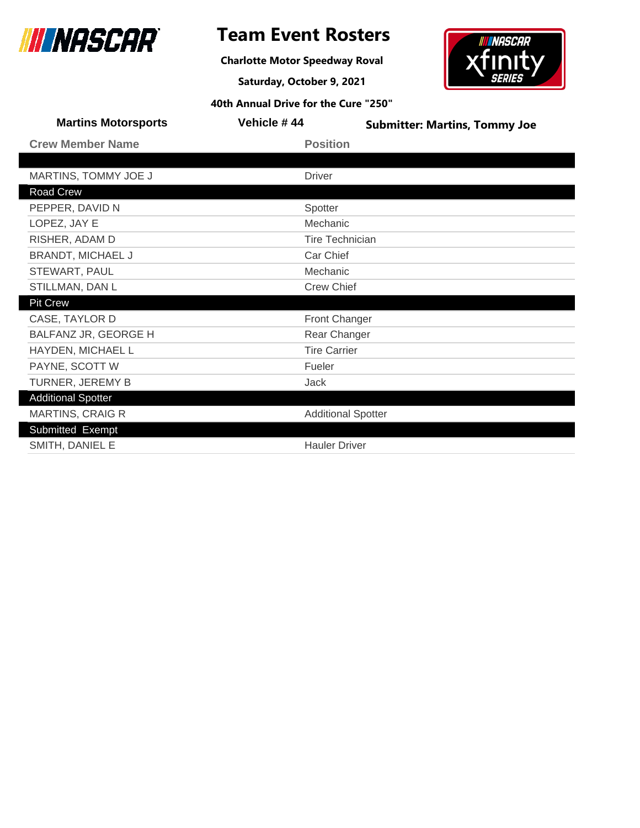

**Charlotte Motor Speedway Roval**

**Saturday, October 9, 2021**



| <b>Martins Motorsports</b> | Vehicle #44               | <b>Submitter: Martins, Tommy Joe</b> |
|----------------------------|---------------------------|--------------------------------------|
| <b>Crew Member Name</b>    | <b>Position</b>           |                                      |
|                            |                           |                                      |
| MARTINS, TOMMY JOE J       | <b>Driver</b>             |                                      |
| Road Crew                  |                           |                                      |
| PEPPER, DAVID N            | Spotter                   |                                      |
| LOPEZ, JAY E               | Mechanic                  |                                      |
| RISHER, ADAM D             | <b>Tire Technician</b>    |                                      |
| <b>BRANDT, MICHAEL J</b>   | Car Chief                 |                                      |
| STEWART, PAUL              | Mechanic                  |                                      |
| STILLMAN, DAN L            | <b>Crew Chief</b>         |                                      |
| <b>Pit Crew</b>            |                           |                                      |
| CASE, TAYLOR D             | <b>Front Changer</b>      |                                      |
| BALFANZ JR, GEORGE H       | Rear Changer              |                                      |
| HAYDEN, MICHAEL L          | <b>Tire Carrier</b>       |                                      |
| PAYNE, SCOTT W             | Fueler                    |                                      |
| TURNER, JEREMY B           | Jack                      |                                      |
| <b>Additional Spotter</b>  |                           |                                      |
| <b>MARTINS, CRAIG R</b>    | <b>Additional Spotter</b> |                                      |
| Submitted Exempt           |                           |                                      |
| SMITH, DANIEL E            | <b>Hauler Driver</b>      |                                      |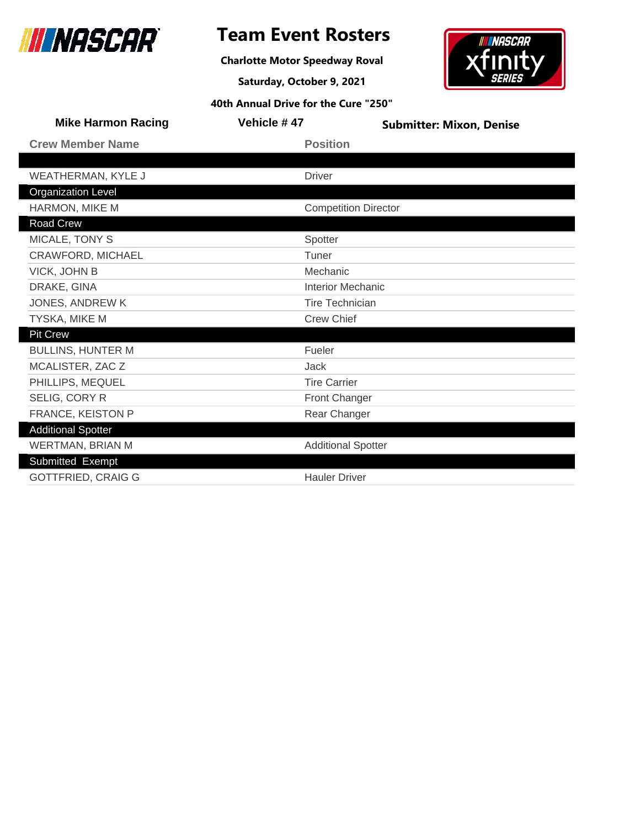

**Charlotte Motor Speedway Roval**

**Saturday, October 9, 2021**



| <b>Mike Harmon Racing</b> | Vehicle #47 |                             | <b>Submitter: Mixon, Denise</b> |
|---------------------------|-------------|-----------------------------|---------------------------------|
| <b>Crew Member Name</b>   |             | <b>Position</b>             |                                 |
|                           |             |                             |                                 |
| <b>WEATHERMAN, KYLE J</b> |             | <b>Driver</b>               |                                 |
| <b>Organization Level</b> |             |                             |                                 |
| HARMON, MIKE M            |             | <b>Competition Director</b> |                                 |
| Road Crew                 |             |                             |                                 |
| MICALE, TONY S            |             | Spotter                     |                                 |
| CRAWFORD, MICHAEL         |             | Tuner                       |                                 |
| VICK, JOHN B              |             | Mechanic                    |                                 |
| DRAKE, GINA               |             | <b>Interior Mechanic</b>    |                                 |
| JONES, ANDREW K           |             | <b>Tire Technician</b>      |                                 |
| TYSKA, MIKE M             |             | <b>Crew Chief</b>           |                                 |
| <b>Pit Crew</b>           |             |                             |                                 |
| <b>BULLINS, HUNTER M</b>  |             | Fueler                      |                                 |
| MCALISTER, ZAC Z          |             | Jack                        |                                 |
| PHILLIPS, MEQUEL          |             | <b>Tire Carrier</b>         |                                 |
| SELIG, CORY R             |             | Front Changer               |                                 |
| FRANCE, KEISTON P         |             | Rear Changer                |                                 |
| <b>Additional Spotter</b> |             |                             |                                 |
| WERTMAN, BRIAN M          |             | <b>Additional Spotter</b>   |                                 |
| Submitted Exempt          |             |                             |                                 |
| <b>GOTTFRIED, CRAIG G</b> |             | <b>Hauler Driver</b>        |                                 |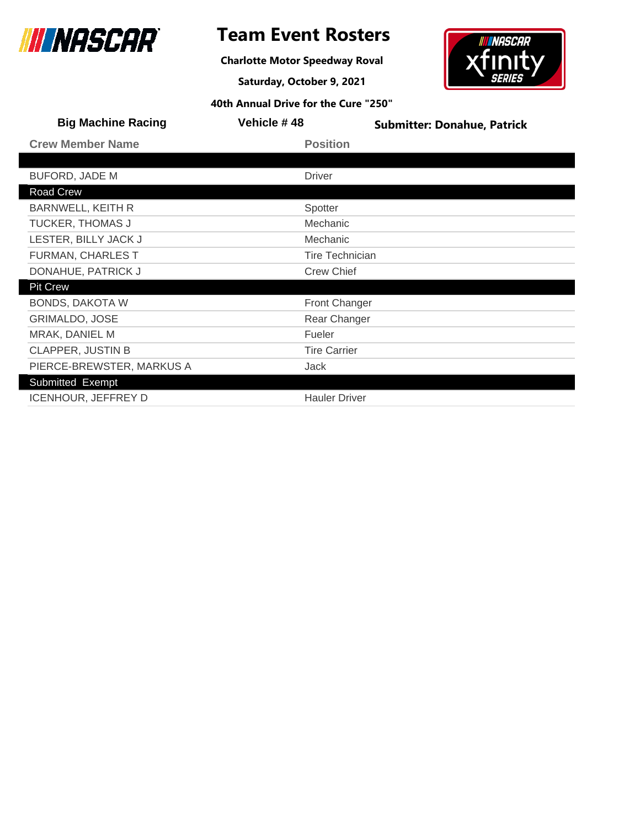

**Charlotte Motor Speedway Roval**

**Saturday, October 9, 2021**



| <b>Big Machine Racing</b>  | Vehicle #48            | <b>Submitter: Donahue, Patrick</b> |
|----------------------------|------------------------|------------------------------------|
| <b>Crew Member Name</b>    | <b>Position</b>        |                                    |
|                            |                        |                                    |
| <b>BUFORD, JADE M</b>      | <b>Driver</b>          |                                    |
| Road Crew                  |                        |                                    |
| <b>BARNWELL, KEITH R</b>   | Spotter                |                                    |
| <b>TUCKER, THOMAS J</b>    | Mechanic               |                                    |
| LESTER, BILLY JACK J       | Mechanic               |                                    |
| FURMAN, CHARLES T          | <b>Tire Technician</b> |                                    |
| DONAHUE, PATRICK J         | <b>Crew Chief</b>      |                                    |
| <b>Pit Crew</b>            |                        |                                    |
| <b>BONDS, DAKOTA W</b>     | <b>Front Changer</b>   |                                    |
| <b>GRIMALDO, JOSE</b>      | Rear Changer           |                                    |
| MRAK, DANIEL M             | Fueler                 |                                    |
| <b>CLAPPER, JUSTIN B</b>   | <b>Tire Carrier</b>    |                                    |
| PIERCE-BREWSTER, MARKUS A  | Jack                   |                                    |
| Submitted Exempt           |                        |                                    |
| <b>ICENHOUR, JEFFREY D</b> | <b>Hauler Driver</b>   |                                    |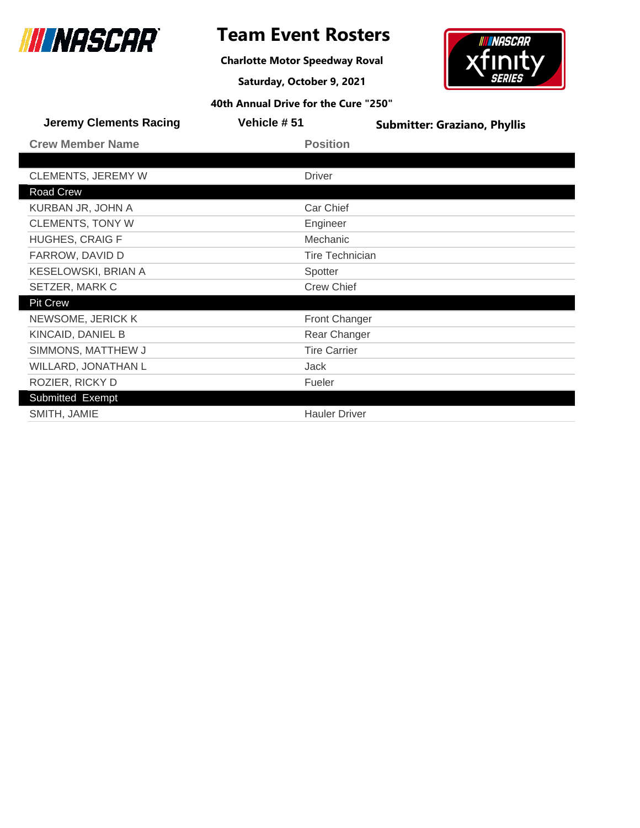

**Charlotte Motor Speedway Roval**

**Saturday, October 9, 2021**



| <b>Jeremy Clements Racing</b> | <b>Vehicle #51</b>     | <b>Submitter: Graziano, Phyllis</b> |
|-------------------------------|------------------------|-------------------------------------|
| <b>Crew Member Name</b>       | <b>Position</b>        |                                     |
|                               |                        |                                     |
| <b>CLEMENTS, JEREMY W</b>     | <b>Driver</b>          |                                     |
| Road Crew                     |                        |                                     |
| KURBAN JR, JOHN A             | Car Chief              |                                     |
| <b>CLEMENTS, TONY W</b>       | Engineer               |                                     |
| <b>HUGHES, CRAIG F</b>        | Mechanic               |                                     |
| FARROW, DAVID D               | <b>Tire Technician</b> |                                     |
| KESELOWSKI, BRIAN A           | Spotter                |                                     |
| SETZER, MARK C                | <b>Crew Chief</b>      |                                     |
| <b>Pit Crew</b>               |                        |                                     |
| NEWSOME, JERICK K             | Front Changer          |                                     |
| KINCAID, DANIEL B             | Rear Changer           |                                     |
| SIMMONS, MATTHEW J            | <b>Tire Carrier</b>    |                                     |
| WILLARD, JONATHAN L           | <b>Jack</b>            |                                     |
| ROZIER, RICKY D               | Fueler                 |                                     |
| Submitted Exempt              |                        |                                     |
| SMITH, JAMIE                  | <b>Hauler Driver</b>   |                                     |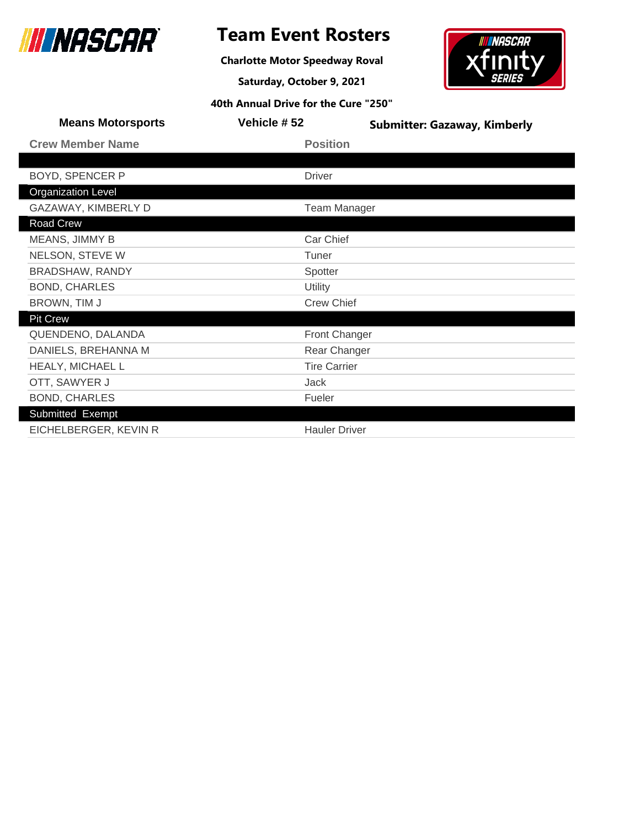

**Charlotte Motor Speedway Roval**

**Saturday, October 9, 2021**



| <b>Means Motorsports</b>  | Vehicle #52          | <b>Submitter: Gazaway, Kimberly</b> |
|---------------------------|----------------------|-------------------------------------|
| <b>Crew Member Name</b>   | <b>Position</b>      |                                     |
|                           |                      |                                     |
| <b>BOYD, SPENCER P</b>    | <b>Driver</b>        |                                     |
| <b>Organization Level</b> |                      |                                     |
| GAZAWAY, KIMBERLY D       | <b>Team Manager</b>  |                                     |
| Road Crew                 |                      |                                     |
| MEANS, JIMMY B            | Car Chief            |                                     |
| NELSON, STEVE W           | Tuner                |                                     |
| <b>BRADSHAW, RANDY</b>    | Spotter              |                                     |
| <b>BOND, CHARLES</b>      | Utility              |                                     |
| BROWN, TIM J              | <b>Crew Chief</b>    |                                     |
| <b>Pit Crew</b>           |                      |                                     |
| QUENDENO, DALANDA         | <b>Front Changer</b> |                                     |
| DANIELS, BREHANNA M       | Rear Changer         |                                     |
| HEALY, MICHAEL L          | <b>Tire Carrier</b>  |                                     |
| OTT, SAWYER J             | Jack                 |                                     |
| <b>BOND, CHARLES</b>      | Fueler               |                                     |
| Submitted Exempt          |                      |                                     |
| EICHELBERGER, KEVIN R     | <b>Hauler Driver</b> |                                     |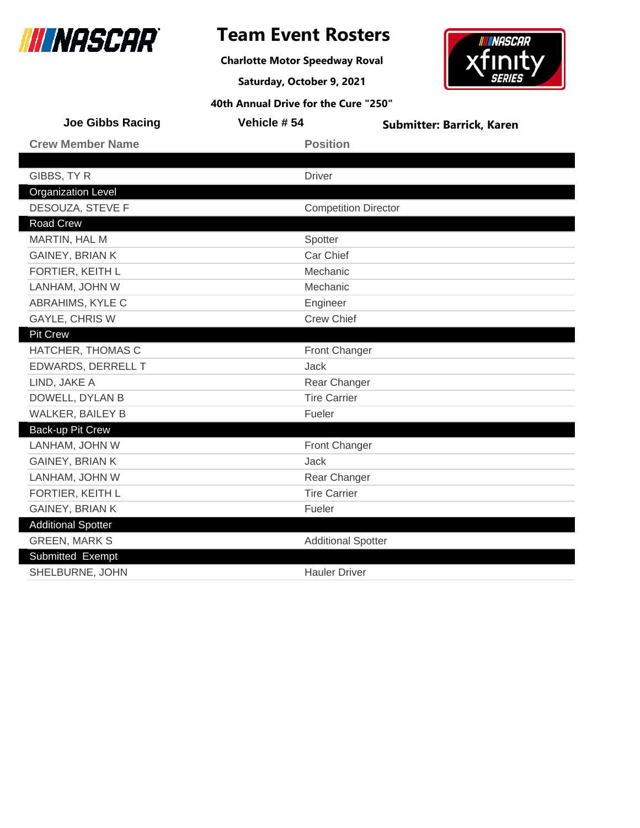

### **Team Event Rosters**

**Charlotte Motor Speedway Roval**

**Saturday, October 9, 2021**



| <b>Joe Gibbs Racing</b>   | Vehicle #54         | <b>Submitter: Barrick, Karen</b> |
|---------------------------|---------------------|----------------------------------|
| <b>Crew Member Name</b>   | <b>Position</b>     |                                  |
|                           |                     |                                  |
| GIBBS, TY R               | <b>Driver</b>       |                                  |
| <b>Organization Level</b> |                     |                                  |
| DESOUZA, STEVE F          |                     | <b>Competition Director</b>      |
| <b>Road Crew</b>          |                     |                                  |
| MARTIN, HAL M             | Spotter             |                                  |
| GAINEY, BRIAN K           | Car Chief           |                                  |
| FORTIER, KEITH L          | Mechanic            |                                  |
| LANHAM, JOHN W            | Mechanic            |                                  |
| ABRAHIMS, KYLE C          | Engineer            |                                  |
| <b>GAYLE, CHRIS W</b>     | <b>Crew Chief</b>   |                                  |
| <b>Pit Crew</b>           |                     |                                  |
| HATCHER, THOMAS C         |                     | <b>Front Changer</b>             |
| EDWARDS, DERRELL T        | <b>Jack</b>         |                                  |
| LIND, JAKE A              |                     | Rear Changer                     |
| DOWELL, DYLAN B           | <b>Tire Carrier</b> |                                  |
| WALKER, BAILEY B          | Fueler              |                                  |
| Back-up Pit Crew          |                     |                                  |
| LANHAM, JOHN W            |                     | Front Changer                    |
| GAINEY, BRIAN K           | Jack                |                                  |
| LANHAM, JOHN W            |                     | Rear Changer                     |
| FORTIER, KEITH L          | <b>Tire Carrier</b> |                                  |
| <b>GAINEY, BRIAN K</b>    | Fueler              |                                  |
| <b>Additional Spotter</b> |                     |                                  |
| <b>GREEN, MARK S</b>      |                     | <b>Additional Spotter</b>        |
| Submitted Exempt          |                     |                                  |
| SHELBURNE, JOHN           |                     | <b>Hauler Driver</b>             |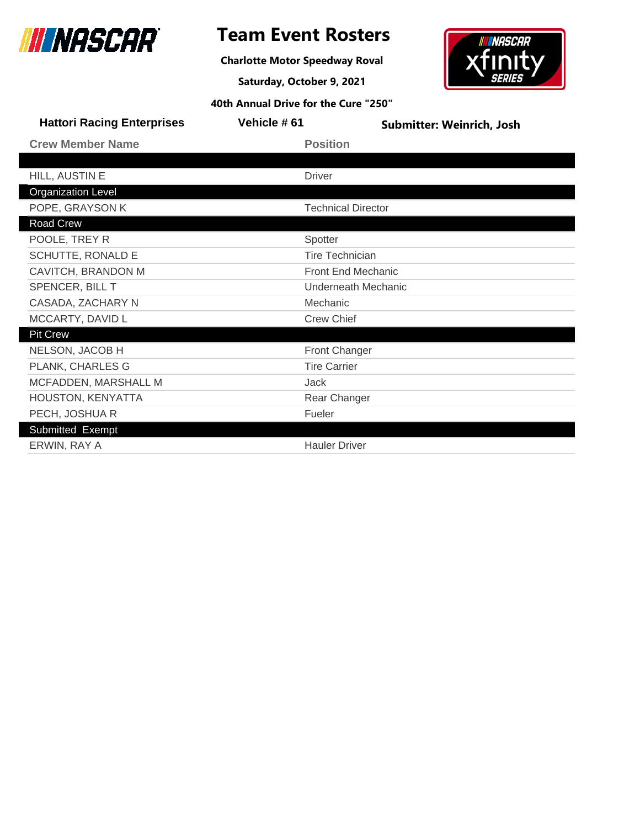

**Charlotte Motor Speedway Roval**

**Saturday, October 9, 2021**



| <b>Hattori Racing Enterprises</b> | Vehicle #61               | Submitter: Weinrich, Josh |
|-----------------------------------|---------------------------|---------------------------|
| <b>Crew Member Name</b>           | <b>Position</b>           |                           |
|                                   |                           |                           |
| HILL, AUSTIN E                    | <b>Driver</b>             |                           |
| <b>Organization Level</b>         |                           |                           |
| POPE, GRAYSON K                   | <b>Technical Director</b> |                           |
| Road Crew                         |                           |                           |
| POOLE, TREY R                     | Spotter                   |                           |
| SCHUTTE, RONALD E                 | <b>Tire Technician</b>    |                           |
| CAVITCH, BRANDON M                | <b>Front End Mechanic</b> |                           |
| SPENCER, BILL T                   | Underneath Mechanic       |                           |
| CASADA, ZACHARY N                 | Mechanic                  |                           |
| MCCARTY, DAVID L                  | <b>Crew Chief</b>         |                           |
| <b>Pit Crew</b>                   |                           |                           |
| NELSON, JACOB H                   | <b>Front Changer</b>      |                           |
| PLANK, CHARLES G                  | <b>Tire Carrier</b>       |                           |
| MCFADDEN, MARSHALL M              | Jack                      |                           |
| HOUSTON, KENYATTA                 | Rear Changer              |                           |
| PECH, JOSHUA R                    | Fueler                    |                           |
| Submitted Exempt                  |                           |                           |
| ERWIN, RAY A                      | <b>Hauler Driver</b>      |                           |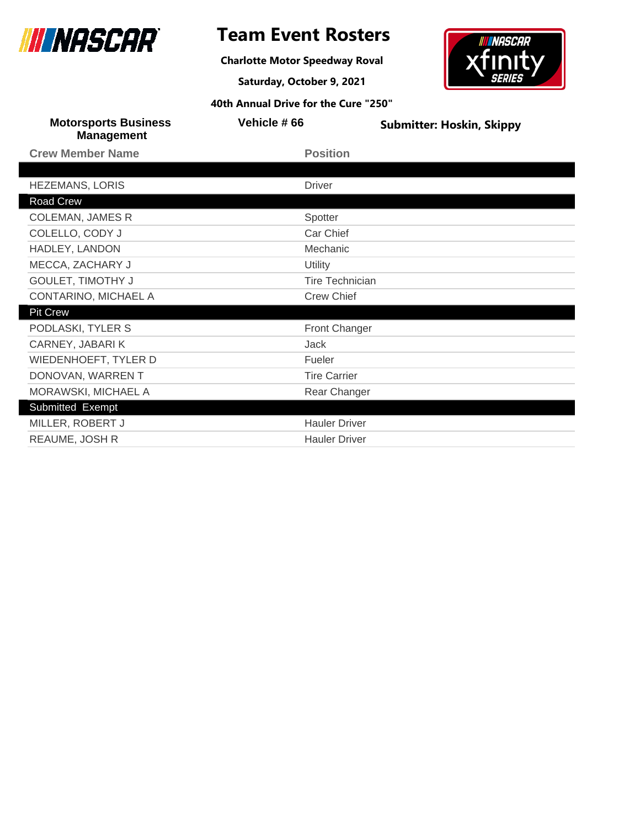

**Charlotte Motor Speedway Roval**

**Saturday, October 9, 2021**



| <b>Motorsports Business</b><br><b>Management</b> | Vehicle #66            | <b>Submitter: Hoskin, Skippy</b> |
|--------------------------------------------------|------------------------|----------------------------------|
| <b>Crew Member Name</b>                          | <b>Position</b>        |                                  |
|                                                  |                        |                                  |
| <b>HEZEMANS, LORIS</b>                           | <b>Driver</b>          |                                  |
| Road Crew                                        |                        |                                  |
| <b>COLEMAN, JAMES R</b>                          | Spotter                |                                  |
| COLELLO, CODY J                                  | Car Chief              |                                  |
| HADLEY, LANDON                                   | Mechanic               |                                  |
| MECCA, ZACHARY J                                 | Utility                |                                  |
| <b>GOULET, TIMOTHY J</b>                         | <b>Tire Technician</b> |                                  |
| CONTARINO, MICHAEL A                             | <b>Crew Chief</b>      |                                  |
| <b>Pit Crew</b>                                  |                        |                                  |
| PODLASKI, TYLER S                                | Front Changer          |                                  |
| CARNEY, JABARIK                                  | Jack                   |                                  |
| WIEDENHOEFT, TYLER D                             | Fueler                 |                                  |
| DONOVAN, WARREN T                                | <b>Tire Carrier</b>    |                                  |
| MORAWSKI, MICHAEL A                              | Rear Changer           |                                  |
| Submitted Exempt                                 |                        |                                  |
| MILLER, ROBERT J                                 | <b>Hauler Driver</b>   |                                  |
| REAUME, JOSH R                                   | <b>Hauler Driver</b>   |                                  |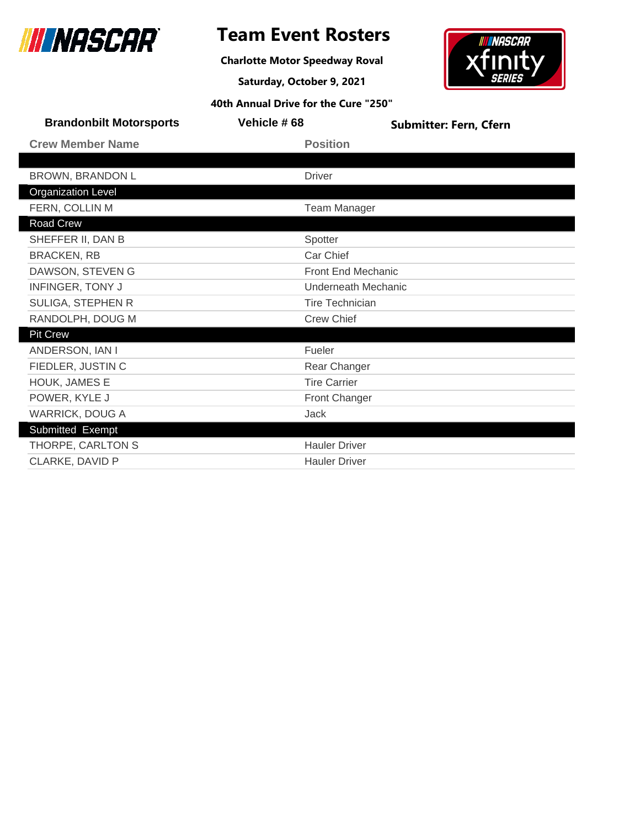

**Charlotte Motor Speedway Roval**

**Saturday, October 9, 2021**



| <b>Brandonbilt Motorsports</b> | Vehicle #68            | <b>Submitter: Fern, Cfern</b> |  |
|--------------------------------|------------------------|-------------------------------|--|
| <b>Crew Member Name</b>        | <b>Position</b>        |                               |  |
|                                |                        |                               |  |
| <b>BROWN, BRANDON L</b>        | <b>Driver</b>          |                               |  |
| <b>Organization Level</b>      |                        |                               |  |
| FERN, COLLIN M                 | <b>Team Manager</b>    |                               |  |
| Road Crew                      |                        |                               |  |
| SHEFFER II, DAN B              | Spotter                |                               |  |
| <b>BRACKEN, RB</b>             | Car Chief              |                               |  |
| DAWSON, STEVEN G               | Front End Mechanic     |                               |  |
| <b>INFINGER, TONY J</b>        | Underneath Mechanic    |                               |  |
| SULIGA, STEPHEN R              | <b>Tire Technician</b> |                               |  |
| RANDOLPH, DOUG M               | <b>Crew Chief</b>      |                               |  |
| <b>Pit Crew</b>                |                        |                               |  |
| ANDERSON, IAN I                | Fueler                 |                               |  |
| FIEDLER, JUSTIN C              | Rear Changer           |                               |  |
| HOUK, JAMES E                  | <b>Tire Carrier</b>    |                               |  |
| POWER, KYLE J                  | Front Changer          |                               |  |
| <b>WARRICK, DOUG A</b>         | Jack                   |                               |  |
| Submitted Exempt               |                        |                               |  |
| THORPE, CARLTON S              | <b>Hauler Driver</b>   |                               |  |
| CLARKE, DAVID P                | <b>Hauler Driver</b>   |                               |  |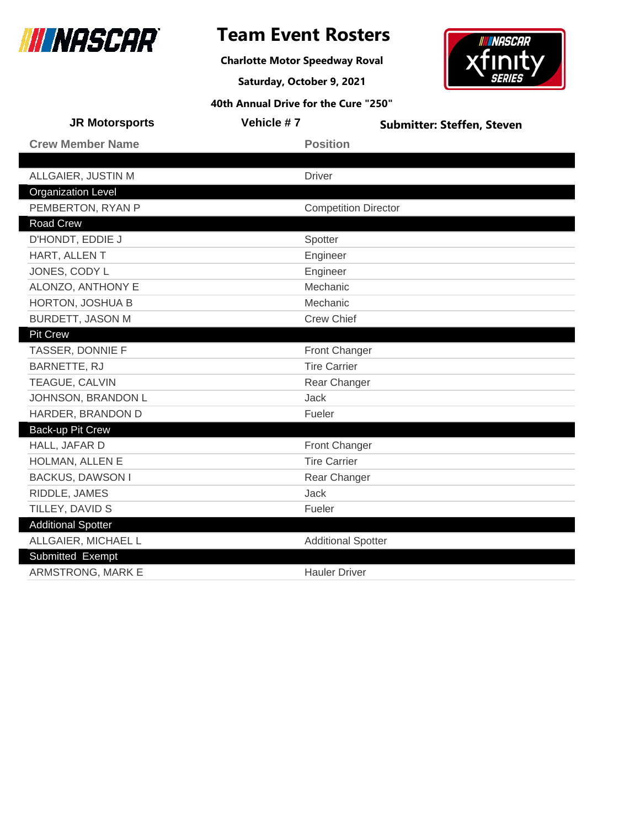

**Charlotte Motor Speedway Roval**

**Saturday, October 9, 2021**



| <b>JR Motorsports</b>     | Vehicle #7 | <b>Submitter: Steffen, Steven</b> |
|---------------------------|------------|-----------------------------------|
| <b>Crew Member Name</b>   |            | <b>Position</b>                   |
|                           |            |                                   |
| ALLGAIER, JUSTIN M        |            | <b>Driver</b>                     |
| <b>Organization Level</b> |            |                                   |
| PEMBERTON, RYAN P         |            | <b>Competition Director</b>       |
| <b>Road Crew</b>          |            |                                   |
| D'HONDT, EDDIE J          |            | Spotter                           |
| HART, ALLEN T             |            | Engineer                          |
| JONES, CODY L             |            | Engineer                          |
| ALONZO, ANTHONY E         |            | Mechanic                          |
| HORTON, JOSHUA B          |            | Mechanic                          |
| <b>BURDETT, JASON M</b>   |            | <b>Crew Chief</b>                 |
| <b>Pit Crew</b>           |            |                                   |
| TASSER, DONNIE F          |            | <b>Front Changer</b>              |
| BARNETTE, RJ              |            | <b>Tire Carrier</b>               |
| TEAGUE, CALVIN            |            | Rear Changer                      |
| JOHNSON, BRANDON L        |            | <b>Jack</b>                       |
| HARDER, BRANDON D         |            | Fueler                            |
| Back-up Pit Crew          |            |                                   |
| HALL, JAFAR D             |            | <b>Front Changer</b>              |
| HOLMAN, ALLEN E           |            | <b>Tire Carrier</b>               |
| <b>BACKUS, DAWSON I</b>   |            | Rear Changer                      |
| RIDDLE, JAMES             |            | Jack                              |
| TILLEY, DAVID S           |            | Fueler                            |
| <b>Additional Spotter</b> |            |                                   |
| ALLGAIER, MICHAEL L       |            | <b>Additional Spotter</b>         |
| Submitted Exempt          |            |                                   |
| ARMSTRONG, MARK E         |            | <b>Hauler Driver</b>              |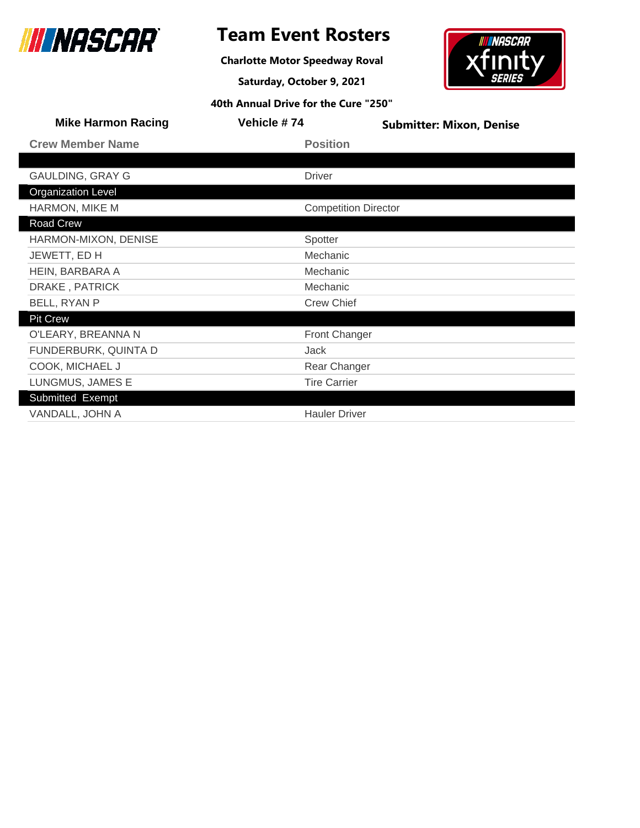

**Charlotte Motor Speedway Roval**

**Saturday, October 9, 2021**



| <b>Crew Member Name</b><br><b>Position</b><br><b>GAULDING, GRAY G</b><br><b>Driver</b><br><b>Organization Level</b><br>HARMON, MIKE M<br><b>Competition Director</b><br><b>Road Crew</b><br>HARMON-MIXON, DENISE<br>Spotter<br>Mechanic<br>JEWETT, ED H<br>HEIN, BARBARA A<br>Mechanic<br>DRAKE, PATRICK<br>Mechanic<br>BELL, RYAN P<br><b>Crew Chief</b> | <b>Mike Harmon Racing</b> | Vehicle #74 | <b>Submitter: Mixon, Denise</b> |
|-----------------------------------------------------------------------------------------------------------------------------------------------------------------------------------------------------------------------------------------------------------------------------------------------------------------------------------------------------------|---------------------------|-------------|---------------------------------|
|                                                                                                                                                                                                                                                                                                                                                           |                           |             |                                 |
|                                                                                                                                                                                                                                                                                                                                                           |                           |             |                                 |
|                                                                                                                                                                                                                                                                                                                                                           |                           |             |                                 |
|                                                                                                                                                                                                                                                                                                                                                           |                           |             |                                 |
|                                                                                                                                                                                                                                                                                                                                                           |                           |             |                                 |
|                                                                                                                                                                                                                                                                                                                                                           |                           |             |                                 |
|                                                                                                                                                                                                                                                                                                                                                           |                           |             |                                 |
|                                                                                                                                                                                                                                                                                                                                                           |                           |             |                                 |
|                                                                                                                                                                                                                                                                                                                                                           |                           |             |                                 |
|                                                                                                                                                                                                                                                                                                                                                           |                           |             |                                 |
|                                                                                                                                                                                                                                                                                                                                                           |                           |             |                                 |
|                                                                                                                                                                                                                                                                                                                                                           | <b>Pit Crew</b>           |             |                                 |
| O'LEARY, BREANNA N<br><b>Front Changer</b>                                                                                                                                                                                                                                                                                                                |                           |             |                                 |
| FUNDERBURK, QUINTA D<br>Jack                                                                                                                                                                                                                                                                                                                              |                           |             |                                 |
| COOK, MICHAEL J<br>Rear Changer                                                                                                                                                                                                                                                                                                                           |                           |             |                                 |
| LUNGMUS, JAMES E<br><b>Tire Carrier</b>                                                                                                                                                                                                                                                                                                                   |                           |             |                                 |
| Submitted Exempt                                                                                                                                                                                                                                                                                                                                          |                           |             |                                 |
| VANDALL, JOHN A<br><b>Hauler Driver</b>                                                                                                                                                                                                                                                                                                                   |                           |             |                                 |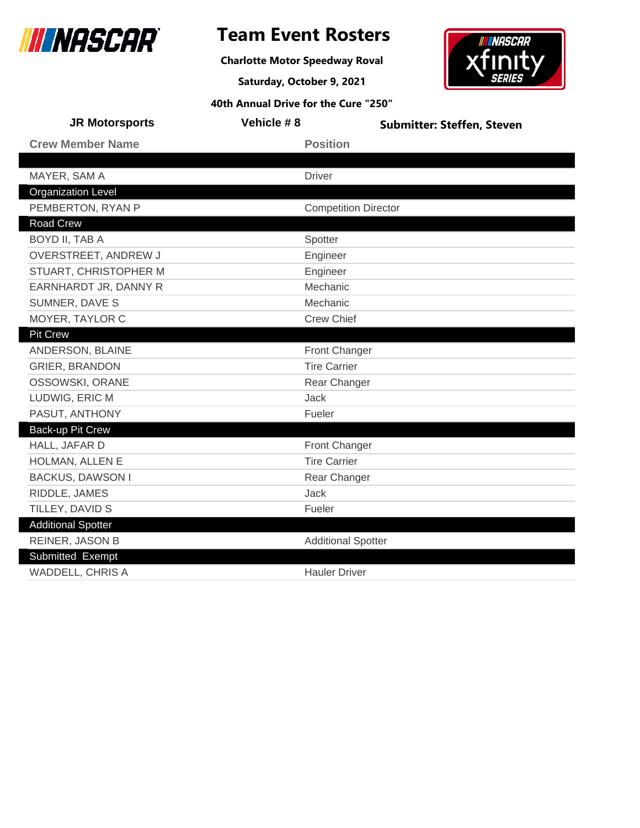

**Charlotte Motor Speedway Roval**

**Saturday, October 9, 2021**



| <b>JR Motorsports</b>     | Vehicle #8                  | <b>Submitter: Steffen, Steven</b> |
|---------------------------|-----------------------------|-----------------------------------|
| <b>Crew Member Name</b>   | <b>Position</b>             |                                   |
|                           |                             |                                   |
| MAYER, SAM A              | <b>Driver</b>               |                                   |
| <b>Organization Level</b> |                             |                                   |
| PEMBERTON, RYAN P         | <b>Competition Director</b> |                                   |
| <b>Road Crew</b>          |                             |                                   |
| BOYD II, TAB A            | Spotter                     |                                   |
| OVERSTREET, ANDREW J      | Engineer                    |                                   |
| STUART, CHRISTOPHER M     | Engineer                    |                                   |
| EARNHARDT JR, DANNY R     | Mechanic                    |                                   |
| SUMNER, DAVE S            | Mechanic                    |                                   |
| MOYER, TAYLOR C           | <b>Crew Chief</b>           |                                   |
| <b>Pit Crew</b>           |                             |                                   |
| ANDERSON, BLAINE          | <b>Front Changer</b>        |                                   |
| <b>GRIER, BRANDON</b>     | <b>Tire Carrier</b>         |                                   |
| OSSOWSKI, ORANE           | Rear Changer                |                                   |
| LUDWIG, ERIC M            | Jack                        |                                   |
| PASUT, ANTHONY            | Fueler                      |                                   |
| Back-up Pit Crew          |                             |                                   |
| HALL, JAFAR D             | <b>Front Changer</b>        |                                   |
| HOLMAN, ALLEN E           | <b>Tire Carrier</b>         |                                   |
| <b>BACKUS, DAWSON I</b>   | Rear Changer                |                                   |
| RIDDLE, JAMES             | Jack                        |                                   |
| TILLEY, DAVID S           | Fueler                      |                                   |
| <b>Additional Spotter</b> |                             |                                   |
| REINER, JASON B           | <b>Additional Spotter</b>   |                                   |
| Submitted Exempt          |                             |                                   |
| <b>WADDELL, CHRIS A</b>   | <b>Hauler Driver</b>        |                                   |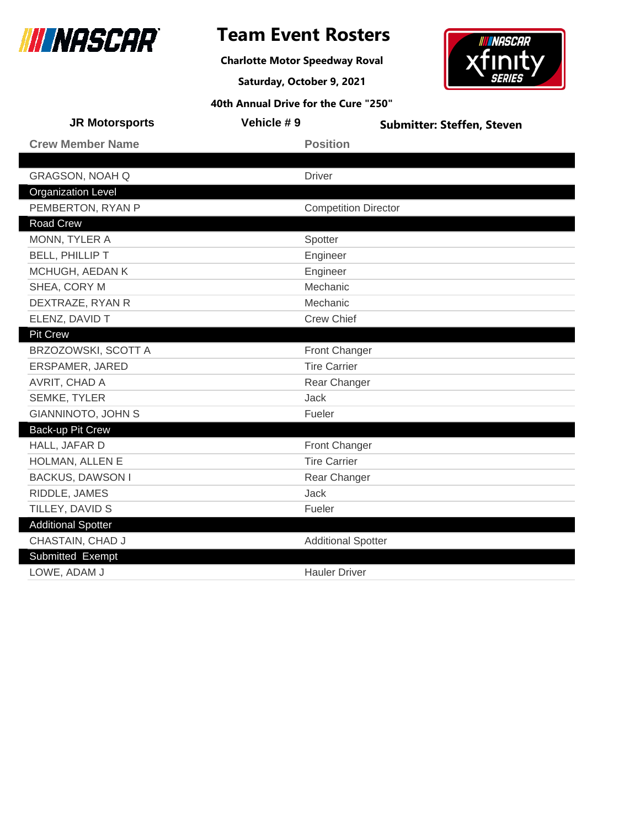

**Charlotte Motor Speedway Roval**

**Saturday, October 9, 2021**



| <b>JR Motorsports</b>     | Vehicle #9                  | <b>Submitter: Steffen, Steven</b> |
|---------------------------|-----------------------------|-----------------------------------|
| <b>Crew Member Name</b>   | <b>Position</b>             |                                   |
|                           |                             |                                   |
| <b>GRAGSON, NOAH Q</b>    | <b>Driver</b>               |                                   |
| <b>Organization Level</b> |                             |                                   |
| PEMBERTON, RYAN P         | <b>Competition Director</b> |                                   |
| <b>Road Crew</b>          |                             |                                   |
| MONN, TYLER A             | Spotter                     |                                   |
| <b>BELL, PHILLIP T</b>    | Engineer                    |                                   |
| MCHUGH, AEDAN K           | Engineer                    |                                   |
| SHEA, CORY M              | Mechanic                    |                                   |
| DEXTRAZE, RYAN R          | Mechanic                    |                                   |
| ELENZ, DAVID T            | <b>Crew Chief</b>           |                                   |
| <b>Pit Crew</b>           |                             |                                   |
| BRZOZOWSKI, SCOTT A       | <b>Front Changer</b>        |                                   |
| ERSPAMER, JARED           | <b>Tire Carrier</b>         |                                   |
| AVRIT, CHAD A             | Rear Changer                |                                   |
| <b>SEMKE, TYLER</b>       | Jack                        |                                   |
| <b>GIANNINOTO, JOHN S</b> | Fueler                      |                                   |
| Back-up Pit Crew          |                             |                                   |
| HALL, JAFAR D             | <b>Front Changer</b>        |                                   |
| HOLMAN, ALLEN E           | <b>Tire Carrier</b>         |                                   |
| <b>BACKUS, DAWSON I</b>   | Rear Changer                |                                   |
| RIDDLE, JAMES             | <b>Jack</b>                 |                                   |
| TILLEY, DAVID S           | Fueler                      |                                   |
| <b>Additional Spotter</b> |                             |                                   |
| CHASTAIN, CHAD J          | <b>Additional Spotter</b>   |                                   |
| Submitted Exempt          |                             |                                   |
| LOWE, ADAM J              | <b>Hauler Driver</b>        |                                   |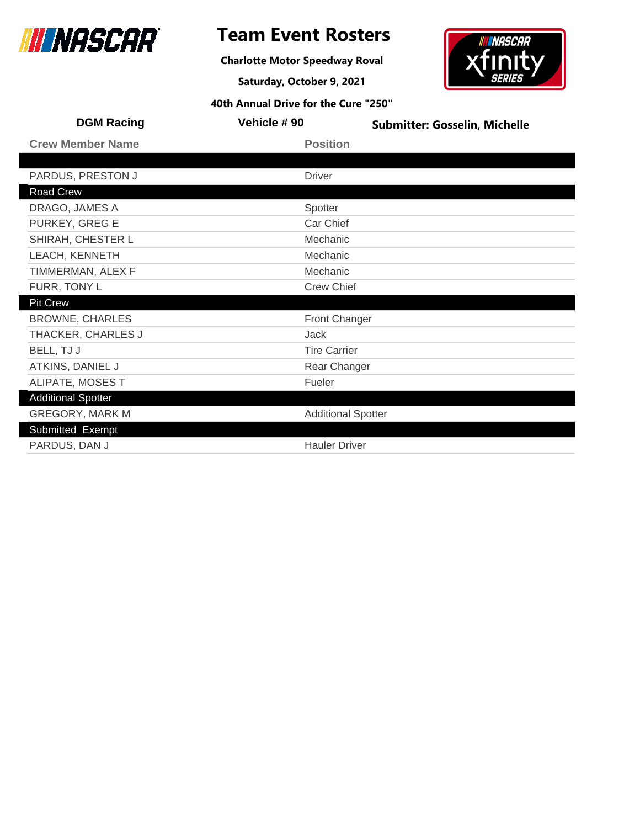

**Charlotte Motor Speedway Roval**

**Saturday, October 9, 2021**



| <b>DGM Racing</b>         | Vehicle #90          | <b>Submitter: Gosselin, Michelle</b> |  |
|---------------------------|----------------------|--------------------------------------|--|
| <b>Crew Member Name</b>   | <b>Position</b>      |                                      |  |
|                           |                      |                                      |  |
| PARDUS, PRESTON J         | <b>Driver</b>        |                                      |  |
| Road Crew                 |                      |                                      |  |
| DRAGO, JAMES A            | Spotter              |                                      |  |
| PURKEY, GREG E            | Car Chief            |                                      |  |
| SHIRAH, CHESTER L         | Mechanic             |                                      |  |
| LEACH, KENNETH            | Mechanic             |                                      |  |
| TIMMERMAN, ALEX F         | Mechanic             |                                      |  |
| FURR, TONY L              | <b>Crew Chief</b>    |                                      |  |
| <b>Pit Crew</b>           |                      |                                      |  |
| <b>BROWNE, CHARLES</b>    | <b>Front Changer</b> |                                      |  |
| THACKER, CHARLES J        | Jack                 |                                      |  |
| BELL, TJ J                | <b>Tire Carrier</b>  |                                      |  |
| ATKINS, DANIEL J          |                      | Rear Changer                         |  |
| ALIPATE, MOSES T          | Fueler               |                                      |  |
| <b>Additional Spotter</b> |                      |                                      |  |
| <b>GREGORY, MARK M</b>    |                      | <b>Additional Spotter</b>            |  |
| Submitted Exempt          |                      |                                      |  |
| PARDUS, DAN J             |                      | <b>Hauler Driver</b>                 |  |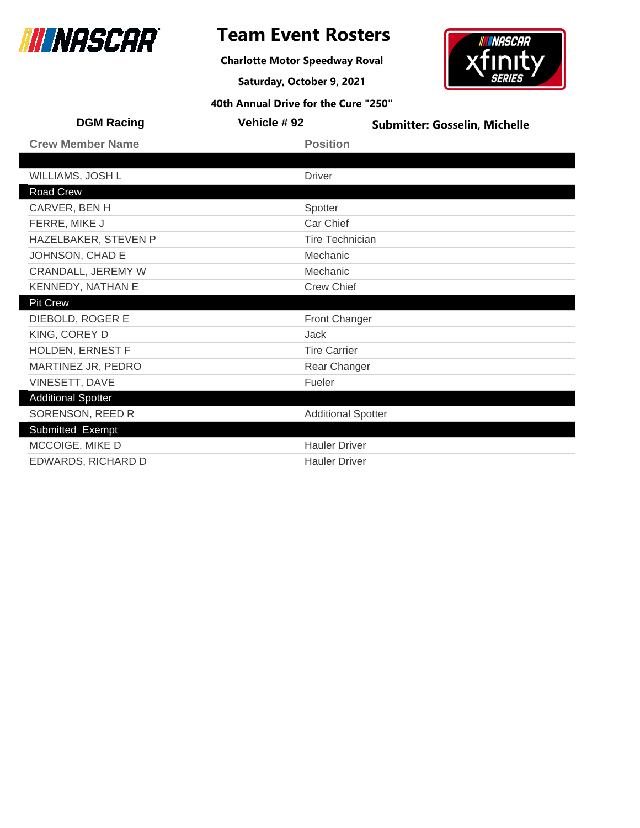

**Charlotte Motor Speedway Roval**

**Saturday, October 9, 2021**

## **INASCAR** xfır

| <b>DGM Racing</b>         | Vehicle #92            | <b>Submitter: Gosselin, Michelle</b> |  |
|---------------------------|------------------------|--------------------------------------|--|
| <b>Crew Member Name</b>   | <b>Position</b>        |                                      |  |
|                           |                        |                                      |  |
| WILLIAMS, JOSH L          | <b>Driver</b>          |                                      |  |
| Road Crew                 |                        |                                      |  |
| CARVER, BEN H             | Spotter                |                                      |  |
| FERRE, MIKE J             | Car Chief              |                                      |  |
| HAZELBAKER, STEVEN P      | <b>Tire Technician</b> |                                      |  |
| JOHNSON, CHAD E           | Mechanic               |                                      |  |
| <b>CRANDALL, JEREMY W</b> | Mechanic               |                                      |  |
| KENNEDY, NATHAN E         | <b>Crew Chief</b>      |                                      |  |
| <b>Pit Crew</b>           |                        |                                      |  |
| DIEBOLD, ROGER E          | <b>Front Changer</b>   |                                      |  |
| KING, COREY D             | Jack                   |                                      |  |
| HOLDEN, ERNEST F          | <b>Tire Carrier</b>    |                                      |  |
| MARTINEZ JR, PEDRO        | Rear Changer           |                                      |  |
| VINESETT, DAVE            | Fueler                 |                                      |  |
| <b>Additional Spotter</b> |                        |                                      |  |
| SORENSON, REED R          |                        | <b>Additional Spotter</b>            |  |
| Submitted Exempt          |                        |                                      |  |
| MCCOIGE, MIKE D           | <b>Hauler Driver</b>   |                                      |  |
| EDWARDS, RICHARD D        | <b>Hauler Driver</b>   |                                      |  |